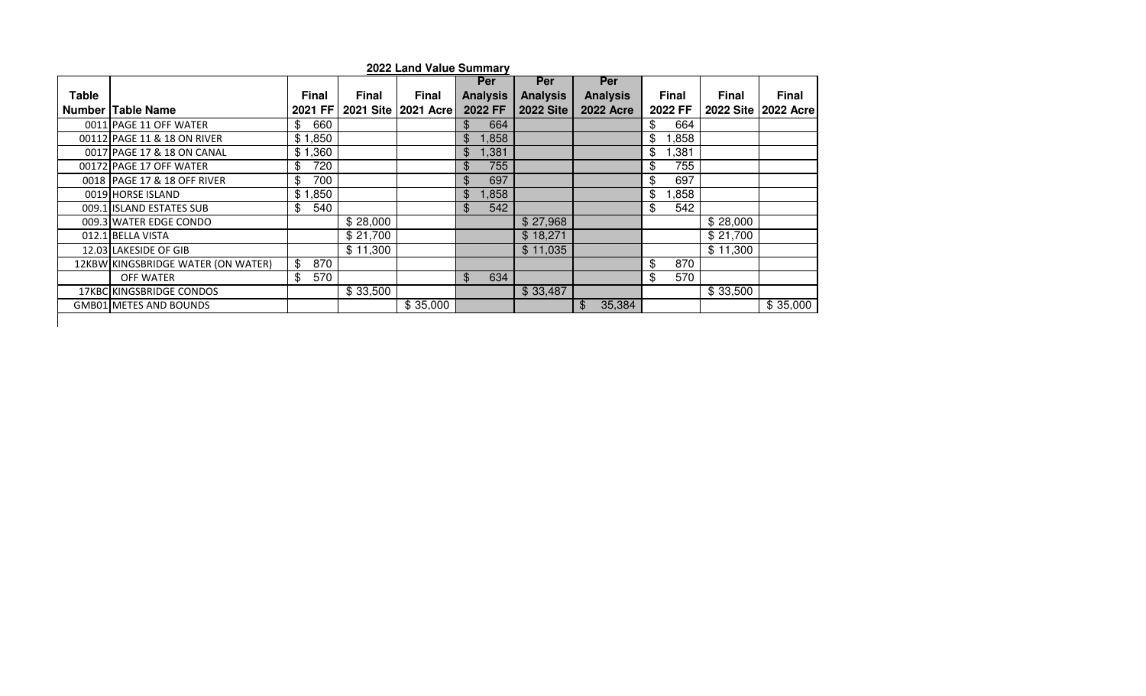|              |                                    |              |              | 2022 Land Value Summary |                 |                  |                  |              |              |                       |
|--------------|------------------------------------|--------------|--------------|-------------------------|-----------------|------------------|------------------|--------------|--------------|-----------------------|
|              |                                    |              |              |                         | <b>Per</b>      | Per              | <b>Per</b>       |              |              |                       |
| <b>Table</b> |                                    | <b>Final</b> | <b>Final</b> | <b>Final</b>            | <b>Analysis</b> | <b>Analysis</b>  | <b>Analysis</b>  | <b>Final</b> | <b>Final</b> | <b>Final</b>          |
|              | <b>Number Table Name</b>           | 2021 FF      |              | 2021 Site   2021 Acre   | 2022 FF         | <b>2022 Site</b> | <b>2022 Acre</b> | 2022 FF      |              | 2022 Site   2022 Acre |
|              | 0011 PAGE 11 OFF WATER             | 660<br>\$    |              |                         | \$<br>664       |                  |                  | \$<br>664    |              |                       |
|              | 00112 PAGE 11 & 18 ON RIVER        | \$1,850      |              |                         | 1,858<br>\$     |                  |                  | \$<br>,858   |              |                       |
|              | 0017 PAGE 17 & 18 ON CANAL         | \$1,360      |              |                         | 1,381<br>\$     |                  |                  | \$<br>,381   |              |                       |
|              | 00172 PAGE 17 OFF WATER            | 720<br>\$    |              |                         | \$<br>755       |                  |                  | \$<br>755    |              |                       |
|              | 0018 PAGE 17 & 18 OFF RIVER        | 700<br>\$    |              |                         | \$<br>697       |                  |                  | \$<br>697    |              |                       |
|              | 0019 HORSE ISLAND                  | \$1,850      |              |                         | \$<br>1,858     |                  |                  | \$<br>,858   |              |                       |
|              | 009.1 ISLAND ESTATES SUB           | 540<br>\$    |              |                         | \$<br>542       |                  |                  | \$<br>542    |              |                       |
|              | 009.3 WATER EDGE CONDO             |              | \$28,000     |                         |                 | \$27,968         |                  |              | \$28,000     |                       |
|              | 012.1 BELLA VISTA                  |              | \$21,700     |                         |                 | \$18,271         |                  |              | \$21,700     |                       |
|              | 12.03 LAKESIDE OF GIB              |              | \$11,300     |                         |                 | \$11,035         |                  |              | \$11,300     |                       |
|              | 12KBW KINGSBRIDGE WATER (ON WATER) | \$<br>870    |              |                         |                 |                  |                  | \$<br>870    |              |                       |
|              | <b>OFF WATER</b>                   | 570<br>\$    |              |                         | \$<br>634       |                  |                  | \$<br>570    |              |                       |
|              | 17KBC KINGSBRIDGE CONDOS           |              | \$33,500     |                         |                 | \$33,487         |                  |              | \$33,500     |                       |
|              | GMB01 METES AND BOUNDS             |              |              | \$35,000                |                 |                  | 35,384<br>\$     |              |              | \$35,000              |
|              |                                    |              |              |                         |                 |                  |                  |              |              |                       |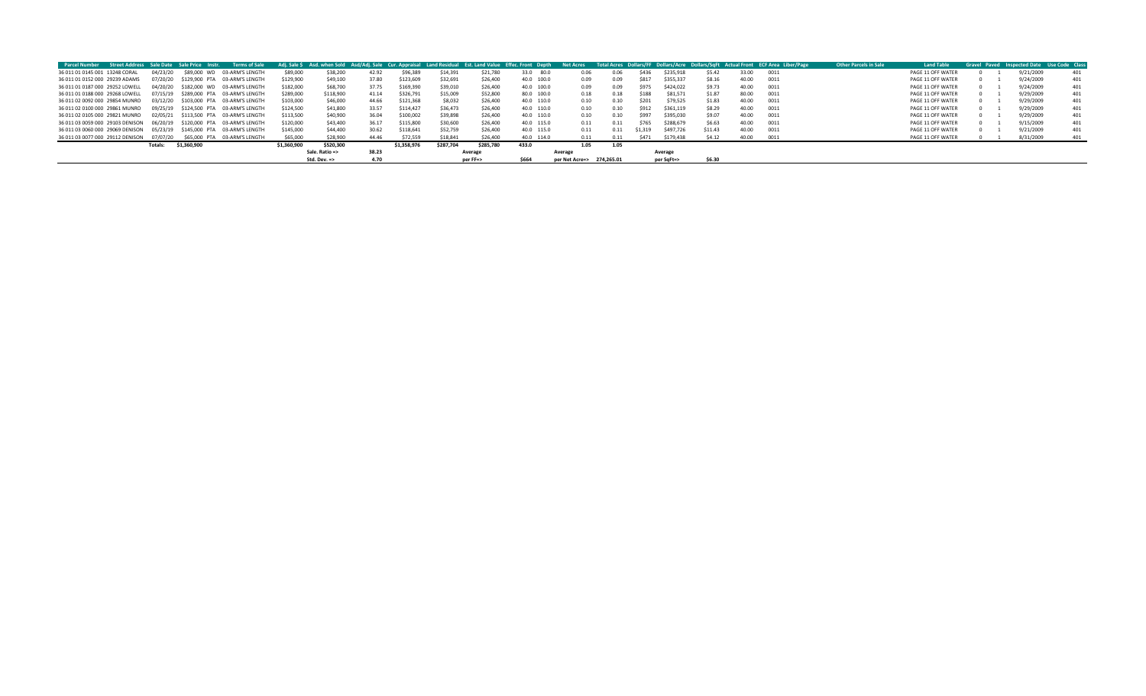| Street Address Sale Date Sale Price Instr.<br><b>Parcel Number</b>      |          |             | Terms of Sale                          |             |                         |       |             |           |           | Adi. Sale S Asd. when Sold Asd/Adi. Sale Cur. Appraisal Land Residual Est. Land Value Effec. Front Depth | <b>Net Acres</b>          |      |             |            |         |       | Total Acres Dollars/FF Dollars/Acre Dollars/SqFt Actual Front ECF Area Liber/Page | <b>Other Parcels in Sale</b> | <b>Land Table</b> |  | Gravel Paved Inspected Date Use Code Clas |     |
|-------------------------------------------------------------------------|----------|-------------|----------------------------------------|-------------|-------------------------|-------|-------------|-----------|-----------|----------------------------------------------------------------------------------------------------------|---------------------------|------|-------------|------------|---------|-------|-----------------------------------------------------------------------------------|------------------------------|-------------------|--|-------------------------------------------|-----|
| 36 011 01 0145 001 13248 CORAL                                          | 04/23/20 |             | \$89,000 WD 03-ARM'S LENGTH            | \$89,000    | \$38,200                | 42.92 | \$96,389    | \$14,391  | \$21,780  | 33.0 80.0                                                                                                | 0.06                      | 0.06 |             | \$235.918  | \$5.42  | 33.00 | 0011                                                                              |                              | PAGE 11 OFF WATER |  | 9/21/2009                                 | 401 |
| 36 011 01 0152 000 29239 ADAMS                                          |          |             | 07/20/20 \$129.900 PTA 03-ARM'S LENGTH | \$129,900   | \$49,100                | 37.80 | \$123,609   | \$32,691  | \$26,400  | 40.0 100.0                                                                                               | 0.09                      | 0.09 | <b>S817</b> | \$355.337  | \$8.16  | 40.00 | 0011                                                                              |                              | PAGE 11 OFF WATER |  | 9/24/2009                                 | 401 |
| 36 011 01 0187 000 29252 LOWELL                                         |          |             | 04/20/20 \$182.000 WD 03-ARM'S LENGTH  | \$182,000   | \$68,700                | 37.75 | \$169,390   | \$39,010  | \$26,400  | 40.0 100.0                                                                                               | 0.09                      | 0.09 | \$975       | \$424,022  | \$9.73  | 40.00 | 0011                                                                              |                              | PAGE 11 OFF WATER |  | 9/24/2009                                 | 401 |
| 36 011 01 0188 000 29268 LOWELL                                         | 07/15/19 |             | \$289,000 PTA 03-ARM'S LENGTH          | \$289.000   | \$118,900               | 41.14 | \$326,791   | \$15,009  | \$52,800  | 80.0 100.0                                                                                               | 0.18                      | 0.18 | \$188       | \$81.571   | \$1.87  | 80.00 | 0011                                                                              |                              | PAGE 11 OFF WATER |  | 9/29/2009                                 | 401 |
| 36 011 02 0092 000 29854 MUNRO                                          |          |             | 03/12/20 \$103.000 PTA 03-ARM'S LENGTH | \$103,000   | \$46,000                | 44.66 | \$121,368   | \$8,032   | \$26,400  | 40.0 110.0                                                                                               | 0.10                      | 0.10 | \$201       | \$79.525   | \$1.83  | 40.00 | 0011                                                                              |                              | PAGE 11 OFF WATER |  | 9/29/2009                                 | 401 |
| 36 011 02 0100 000 29861 MUNRO                                          |          |             | 09/25/19 \$124.500 PTA 03-ARM'S LENGTH | \$124,500   | \$41,800                | 33.57 | \$114,427   | \$36,473  | \$26,400  | 40.0 110.0                                                                                               | 0.10                      | 0.10 | \$912       | \$361.119  | \$8.29  | 40.00 | 0011                                                                              |                              | PAGE 11 OFF WATER |  | 9/29/2009                                 | 401 |
| 36 011 02 0105 000 29821 MUNRO                                          |          |             | 02/05/21 \$113.500 PTA 03-ARM'S LENGTH | \$113,500   | \$40,900                | 36.04 | \$100,002   | \$39,898  | \$26,400  | 40.0 110.0                                                                                               | 0.10                      | 0.10 | \$997       | \$395,030  | \$9.07  | 40.00 | 0011                                                                              |                              | PAGE 11 OFF WATER |  | 9/29/2009                                 | 401 |
| 36 011 03 0059 000 29103 DENISON 06/20/19 \$120.000 PTA 03-ARM'S LENGTH |          |             |                                        | \$120,000   | \$43,400                | 36.17 | \$115,800   | \$30,600  | \$26,400  | 40.0 115.0                                                                                               | 0.11                      | 0.11 | \$765       | \$288,679  | \$6.63  | 40.00 | 0011                                                                              |                              | PAGE 11 OFF WATER |  | 9/15/2009                                 | 401 |
| 36 011 03 0060 000 29069 DENISON                                        | 05/23/19 |             | \$145,000 PTA 03-ARM'S LENGTH          | \$145,000   | \$44,400                | 30.62 | \$118,641   | \$52,759  | \$26,400  | 40.0 115.0                                                                                               | 0.11                      | 0.11 | \$1.319     | \$497.726  | \$11.43 | 40.00 | 0011                                                                              |                              | PAGE 11 OFF WATER |  | 9/21/2009                                 | 401 |
| 36 011 03 0077 000 29112 DENISON 07/07/20                               |          |             | \$65,000 PTA 03-ARM'S LENGTH           | \$65,000    | \$28,900                | 44.46 | \$72,559    | \$18,841  | \$26,400  | 40.0 114.0                                                                                               | 0.11                      | 0.11 | S471        | \$179.438  | \$4.12  | 40.00 | 0011                                                                              |                              | PAGE 11 OFF WATER |  | 8/31/2009                                 | 401 |
| Totals:                                                                 |          | \$1,360,900 |                                        | \$1,360,900 | \$520,300               |       | \$1,358,976 | \$287,704 | \$285,780 | 433.0                                                                                                    | 1.05                      | 1.05 |             |            |         |       |                                                                                   |                              |                   |  |                                           |     |
|                                                                         |          |             |                                        |             | Sale. Ratio =>          | 38.23 |             |           | Average   |                                                                                                          | Average                   |      |             | Average    |         |       |                                                                                   |                              |                   |  |                                           |     |
|                                                                         |          |             |                                        |             | Std. Dev. $\Rightarrow$ | 4.70  |             |           | per FF=>  | <b>S664</b>                                                                                              | per Net Acre=> 274,265.01 |      |             | per SqFt=> | \$6.30  |       |                                                                                   |                              |                   |  |                                           |     |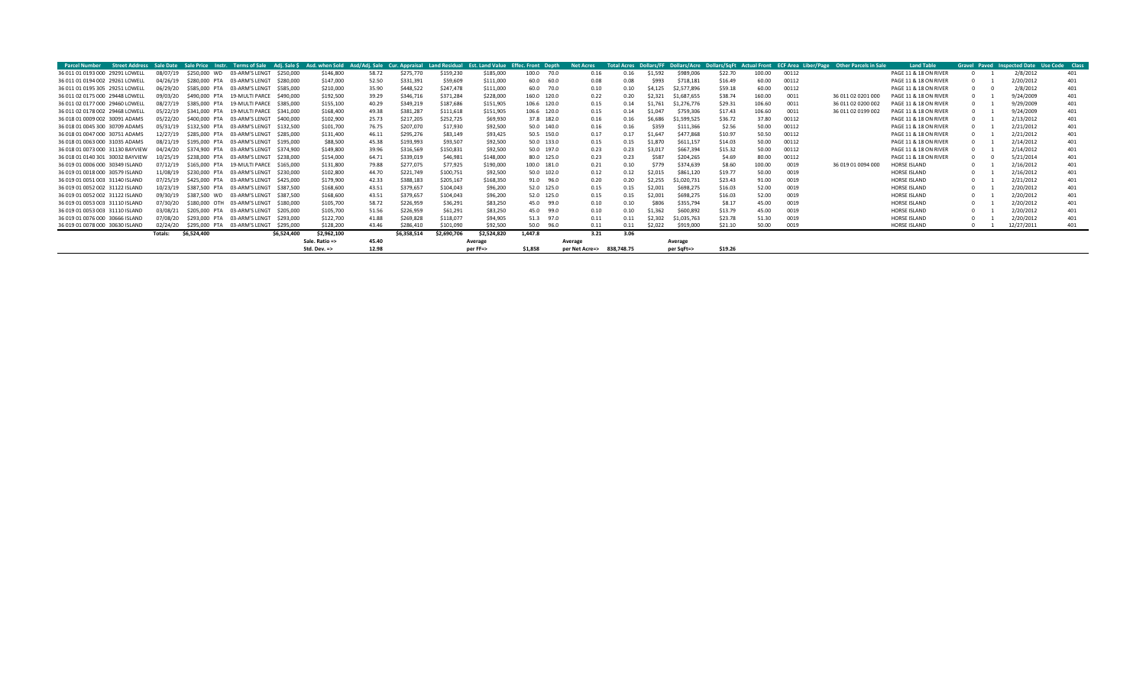| <b>Parcel Number</b>             |          |                  | Street Address Sale Date Sale Price Instr. Terms of Sale Adi. Sale S Asd. when Sold Asd/Adi. Sale Cur. Appraisal Land Residual Est. Land Value Effec. Front Depth |             |                         |       |             |             |             |              | <b>Net Acres</b> |            |         |             |         |        |       | Total Acres Dollars/FF Dollars/Acre Dollars/SqFt Actual Front ECF Area Liber/Page Other Parcels in Sale | <b>Land Table</b>     |  | Gravel Paved Inspected Date Use Code Class |     |
|----------------------------------|----------|------------------|-------------------------------------------------------------------------------------------------------------------------------------------------------------------|-------------|-------------------------|-------|-------------|-------------|-------------|--------------|------------------|------------|---------|-------------|---------|--------|-------|---------------------------------------------------------------------------------------------------------|-----------------------|--|--------------------------------------------|-----|
| 36 011 01 0193 000 29291 LOWELL  | 08/07/19 |                  | \$250,000 WD 03-ARM'S LENGT                                                                                                                                       | \$250,000   | \$146,800               | 58.72 | \$275,770   | \$159,230   | \$185,000   | 100.0 70.0   | 0.16             | 0.16       | \$1,592 | \$989,006   | \$22.70 | 100.00 | 00112 |                                                                                                         | PAGE 11 & 18 ON RIVER |  | 2/8/2012                                   | 401 |
| 36 011 01 0194 002 29261 LOWELL  | 04/26/19 |                  | \$280,000 PTA 03-ARM'S LENGT                                                                                                                                      | \$280.000   | \$147,000               | 52.50 | \$331,391   | \$59,609    | \$111,000   | 60.0         | 60.0<br>0.08     | 0.08       | \$993   | \$718,181   | \$16.49 | 60.00  | 00112 |                                                                                                         | PAGE 11 & 18 ON RIVER |  | 2/20/2012                                  | 401 |
| 36 011 01 0195 305 29251 LOWELL  | 06/29/20 |                  | \$585,000 PTA 03-ARM'S LENGT                                                                                                                                      | \$585.000   | \$210,000               | 35.90 | \$448,522   | \$247,478   | \$111,000   | 60.0         | 70.0<br>0.10     | 0.10       | \$4,125 | \$2,577,896 | \$59.18 | 60.00  | 00112 |                                                                                                         | PAGE 11 & 18 ON RIVER |  | 2/8/2012                                   | 401 |
| 36 011 02 0175 000 29448 LOWELL  | 09/03/20 |                  | \$490,000 PTA 19-MULTI PARCE \$490,000                                                                                                                            |             | \$192,500               | 39.29 | \$346,716   | \$371.284   | \$228,000   | 160.0 120.0  | 0.22             | 0.20       | \$2.321 | \$1,687,655 | \$38.74 | 160.00 | 0011  | 36 011 02 0201 000                                                                                      | PAGE 11 & 18 ON RIVER |  | 9/24/2009                                  | 401 |
| 36 011 02 0177 000 29460 LOWELL  |          | \$385,000 PTA    | 19-MULTI PARCE \$385,000                                                                                                                                          |             | \$155,100               | 40.29 | \$349,219   | \$187,686   | \$151,905   | 106.6 120.0  | 0.15             | 0.14       | \$1.761 | \$1,276,776 | \$29.31 | 106.60 | 0011  | 36 011 02 0200 002                                                                                      | PAGE 11 & 18 ON RIVER |  | 9/29/2009                                  | 401 |
| 36 011 02 0178 002 29468 LOWELL  |          | \$341,000 PTA    | 19-MULTI PARCE \$341,000                                                                                                                                          |             | \$168,400               | 49.38 | \$381,287   | \$111,618   | \$151,905   | 106.6 120.0  | 0.15             | 0.14       | \$1.047 | \$759,306   | \$17.43 | 106.60 | 0011  | 36 011 02 0199 002                                                                                      | PAGE 11 & 18 ON RIVER |  | 9/24/2009                                  | 401 |
| 36 018 01 0009 002 30091 ADAMS   | 05/22/20 |                  | \$400,000 PTA 03-ARM'S LENGT                                                                                                                                      | \$400,000   | \$102,900               | 25.73 | \$217,205   | \$252,725   | \$69,930    | 37.8 182.0   | 0.16             | 0.16       | \$6.686 | \$1,599,525 | \$36.72 | 7.80   | 00112 |                                                                                                         | PAGE 11 & 18 ON RIVER |  | 2/13/2012                                  | 401 |
| 36 018 01 0045 300 30709 ADAMS   | 05/31/19 |                  | \$132,500 PTA 03-ARM'S LENGT                                                                                                                                      | \$132.500   | \$101,700               | 76.75 | \$207,070   | \$17,930    | \$92,500    | 50.0 140.0   | 0.16             | 0.16       | \$359   | \$111,366   | \$2.56  | 50.00  | 00112 |                                                                                                         | PAGE 11 & 18 ON RIVER |  | 2/21/2012                                  | 401 |
| 36 018 01 0047 000 30751 ADAMS   | 12/27/19 | \$285.000<br>PTA | 03-ARM'S LENGT                                                                                                                                                    | \$285.000   | \$131.400               | 46.11 | \$295,276   | \$83,149    | \$93,425    | 50.5 150.0   | 0.17             | 0.17       | \$1.647 | \$477,868   | \$10.97 | 50.50  | 00112 |                                                                                                         | PAGE 11 & 18 ON RIVER |  | 2/21/2012                                  | 401 |
| 36 018 01 0063 000 31035 ADAMS   | 08/21/19 | \$195,000<br>PTA | 03-ARM'S LENGT                                                                                                                                                    | \$195.000   | \$88,500                | 45.38 | \$193,993   | \$93,507    | \$92,500    | 50.0 133.0   | 0.15             | 0.15       | \$1.870 | \$611,157   | \$14.03 | 50.00  | 00112 |                                                                                                         | PAGE 11 & 18 ON RIVER |  | 2/14/2012                                  | 401 |
| 36 018 01 0073 000 31130 BAYVIEW | 04/24/20 | \$374,900<br>PTA | 03-ARM'S LENGT                                                                                                                                                    | \$374.900   | \$149,800               | 39.96 | \$316,569   | \$150,831   | \$92,500    | 50.0 197.0   | 0.23             | 0.23       | \$3,01. | \$667,394   | \$15.32 | 50.00  | 00112 |                                                                                                         | PAGE 11 & 18 ON RIVER |  | 2/14/2012                                  | 401 |
| 36 018 01 0140 301 30032 BAYVIEW | 10/25/19 | PTA<br>\$238,000 | 03-ARM'S LENGT                                                                                                                                                    | \$238.000   | \$154,000               | 64.71 | \$339,019   | \$46,981    | \$148,000   | 80.0 125.0   | 0.23             | 0.23       | \$587   | \$204,265   | \$4.69  | 80.00  | 00112 |                                                                                                         | PAGE 11 & 18 ON RIVER |  | 5/21/2014                                  | 401 |
| 36 019 01 0006 000 30349 ISLAND  | 07/12/19 | \$165,000 PTA    | 19-MULTI PARCE \$165,000                                                                                                                                          |             | \$131,800               | 79.88 | \$277,075   | \$77,925    | \$190,000   | 100.0 181.0  | 0.21             | 0.10       | \$779   | \$374,639   | \$8.60  | 100.00 | 0019  | 36 019 01 0094 000                                                                                      | <b>HORSE ISLAND</b>   |  | 2/16/2012                                  | 401 |
| 36 019 01 0018 000 30579 ISLAND  | 11/08/19 | \$230,000 PTA    | 03-ARM'S LENGT                                                                                                                                                    | \$230,000   | \$102,800               | 44.70 | \$221,749   | \$100,751   | \$92,500    | 50.0 102.0   | 0.12             | 0.12       | \$2,015 | \$861,120   | \$19.77 | 50.00  | 0019  |                                                                                                         | <b>HORSE ISLAND</b>   |  | 2/16/2012                                  | 401 |
| 36 019 01 0051 003 31140 ISLAND  | 07/25/19 |                  | \$425,000 PTA 03-ARM'S LENGT                                                                                                                                      | \$425,000   | \$179,900               | 42.33 | \$388,183   | \$205.167   | \$168,350   | 91.0 96.0    | 0.20             | 0.20       | \$2,255 | \$1,020,731 | \$23.43 | 91.00  | 0019  |                                                                                                         | <b>HORSE ISLAND</b>   |  | 2/21/2012                                  | 401 |
| 36 019 01 0052 002 31122 ISLAND  | 10/23/19 |                  | \$387,500 PTA 03-ARM'S LENGT                                                                                                                                      | \$387.500   | \$168,600               | 43.51 | \$379,657   | \$104,043   | \$96,200    | 52.0 125.0   | 0.15             | 0.15       | \$2,001 | \$698,275   | \$16.03 | 52.00  | 0019  |                                                                                                         | <b>HORSE ISLAND</b>   |  | 2/20/2012                                  | 401 |
| 36 019 01 0052 002 31122 ISLAND  | 09/30/19 |                  | \$387,500 WD 03-ARM'S LENGT                                                                                                                                       | \$387.500   | \$168,600               | 43.51 | \$379,657   | \$104,043   | \$96,200    | 52.0 125.0   | 0.15             | 0.15       | \$2,001 | \$698,275   | \$16.03 | 52.00  | 0019  |                                                                                                         | <b>HORSE ISLAND</b>   |  | 2/20/2012                                  | 401 |
| 36 019 01 0053 003 31110 ISLAND  | 07/30/20 | \$180,000 OTH    | 03-ARM'S LENGT                                                                                                                                                    | \$180,000   | \$105,700               | 58.72 | \$226,959   | \$36,291    | \$83,250    | 45.0 99.0    | 0.10             | 0.10       | \$806   | \$355,794   | \$8.17  | 45.00  | 0019  |                                                                                                         | <b>HORSE ISLAND</b>   |  | 2/20/2012                                  | 401 |
| 36 019 01 0053 003 31110 ISLAND  | 03/08/21 | \$205.000<br>PTA | 03-ARM'S LENGT                                                                                                                                                    | \$205.000   | \$105,700               | 51.56 | \$226,959   | \$61,291    | \$83.250    | 45.0         | 99.0<br>0.10     | 0.10       | \$1.362 | \$600,892   | \$13.79 | 45.00  | 0019  |                                                                                                         | <b>HORSE ISLAND</b>   |  | 2/20/2012                                  | 401 |
| 36 019 01 0076 000 30666 ISLAND  | 07/08/20 | \$293,000<br>PTA | 03-ARM'S LENGT                                                                                                                                                    | \$293,000   | \$122,700               | 41.88 | \$269,828   | \$118,077   | \$94,905    | 51.3         | 97.0<br>0.11     | 0.11       | \$2.302 | \$1,035,763 | \$23.78 | 51.30  | 0019  |                                                                                                         | <b>HORSE ISLAND</b>   |  | 2/20/2012                                  | 401 |
| 36 019 01 0078 000 30630 ISLAND  | 02/24/20 |                  | \$295,000 PTA 03-ARM'S LENGT                                                                                                                                      | \$295.000   | \$128,200               | 43.46 | \$286,410   | \$101,090   | \$92,500    | 96.0<br>50.0 | 0.11             | 0.11       | \$2,022 | \$919,000   | \$21.10 | 50.00  | 0019  |                                                                                                         | <b>HORSE ISLAND</b>   |  | 12/27/2011                                 | 401 |
|                                  | Totals:  | \$6,524,400      |                                                                                                                                                                   | \$6,524,400 | \$2,962,100             |       | \$6,358,514 | \$2,690.706 | \$2,524,820 | 1.447.8      | 3.21             | 3.06       |         |             |         |        |       |                                                                                                         |                       |  |                                            |     |
|                                  |          |                  |                                                                                                                                                                   |             | Sale. Ratio =>          | 45.40 |             |             | Average     |              | Average          |            |         | Average     |         |        |       |                                                                                                         |                       |  |                                            |     |
|                                  |          |                  |                                                                                                                                                                   |             | Std. Dev. $\Rightarrow$ | 12.98 |             |             | per FF=>    | \$1.858      | per Net Acre=>   | 838.748.75 |         | per SqFt=>  | \$19.26 |        |       |                                                                                                         |                       |  |                                            |     |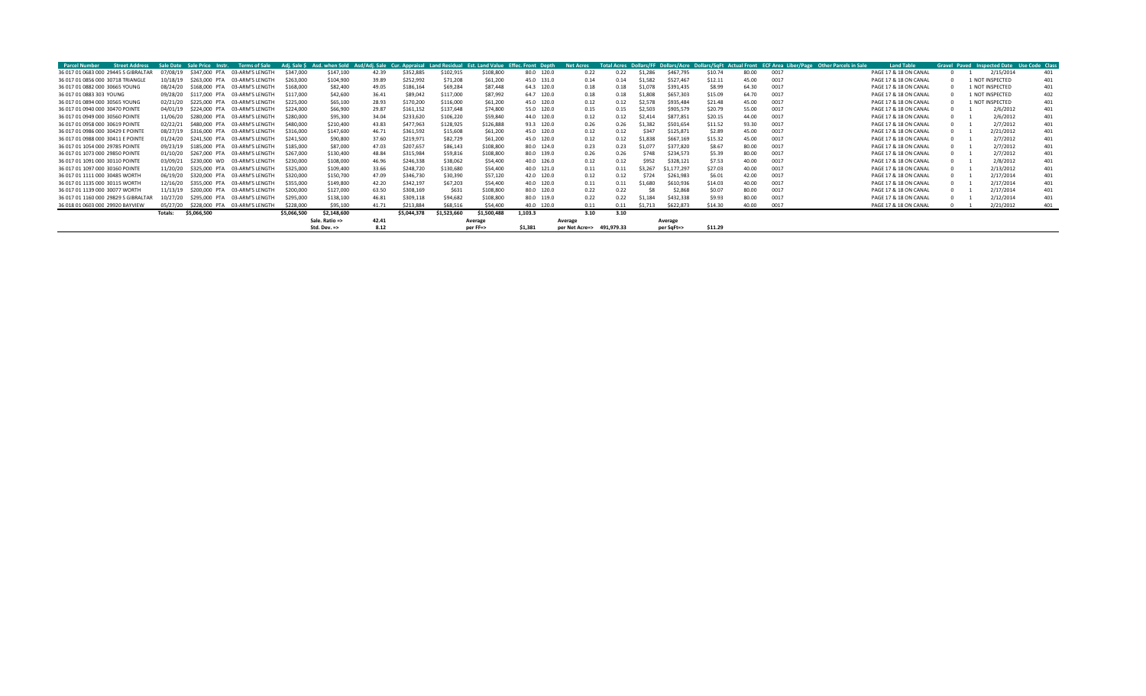| <b>Parcel Number</b>                 | <b>Street Address</b> |          | Sale Date Sale Price Instr. | <b>Terms of Sale</b>                   |             | Adj. Sale \$ Asd. when Sold Asd/Adj. Sale Cur. Appraisal Land Residual Est. Land Value Effec. Front Depth |       |             |             |             |            |         | <b>Net Acres</b> |            |                    |             |         |       |      | Total Acres Dollars/FF Dollars/Acre Dollars/SqFt Actual Front ECF Area Liber/Page Other Parcels in Sale | <b>Land Table</b>     |  |                 | Gravel Paved Inspected Date Use Code Class |
|--------------------------------------|-----------------------|----------|-----------------------------|----------------------------------------|-------------|-----------------------------------------------------------------------------------------------------------|-------|-------------|-------------|-------------|------------|---------|------------------|------------|--------------------|-------------|---------|-------|------|---------------------------------------------------------------------------------------------------------|-----------------------|--|-----------------|--------------------------------------------|
| 36 017 01 0683 000 29445 S GIBRALTAR |                       | 07/08/19 |                             | \$347,000 PTA 03-ARM'S LENGTH          | \$347,000   | \$147,100                                                                                                 | 42.39 | \$352,885   | \$102,915   | \$108,800   | 80.0 120.0 |         | 0.22             | 0.22       | \$1,286            | \$467,795   | \$10.74 | 80.00 | 0017 |                                                                                                         | PAGE 17 & 18 ON CANAL |  | 2/15/2014       | 401                                        |
| 36 017 01 0856 000 30718 TRIANGLE    |                       | 10/18/19 |                             | \$263,000 PTA 03-ARM'S LENGTH          | \$263,000   | \$104,900                                                                                                 | 39.89 | \$252,992   | \$71,208    | \$61,200    | 45.0 131.0 |         | 0.14             | 0.14       | \$1,582            | \$527,467   | \$12.11 | 45.00 | 0017 |                                                                                                         | PAGE 17 & 18 ON CANAL |  | 1 NOT INSPECTED | 401                                        |
| 36 017 01 0882 000 30665 YOUNG       |                       | 08/24/20 |                             | \$168,000 PTA 03-ARM'S LENGTH          | \$168,000   | \$82,400                                                                                                  | 49.05 | \$186,164   | \$69,284    | \$87,448    | 64.3 120.0 |         | 0.18             | 0.18       | S <sub>1.078</sub> | \$391,435   | \$8.99  | 64.30 | 0017 |                                                                                                         | PAGE 17 & 18 ON CANAL |  | L NOT INSPECTED | 401                                        |
| 36 017 01 0883 303 YOUNG             |                       | 09/28/20 |                             | \$117,000 PTA 03-ARM'S LENGTH          | \$117,000   | \$42,600                                                                                                  | 36.41 | \$89,042    | \$117,000   | \$87,992    | 64.7 120.0 |         | 0.18             | 0.18       | \$1.808            | \$657,303   | \$15.09 | 64.70 | 0017 |                                                                                                         | PAGE 17 & 18 ON CANAL |  | 1 NOT INSPECTED | 402                                        |
| 36 017 01 0894 000 30565 YOUNG       |                       | 02/21/20 |                             | \$225,000 PTA 03-ARM'S LENGTH          | \$225,000   | \$65,100                                                                                                  | 28.93 | \$170,200   | \$116,000   | \$61,200    | 45.0 120.0 |         | 0.12             | 0.12       | \$2.578            | \$935,484   | \$21.48 | 45.00 | 0017 |                                                                                                         | PAGE 17 & 18 ON CANAL |  | 1 NOT INSPECTED | 401                                        |
| 36 017 01 0940 000 30470 POINTE      |                       | 04/01/19 |                             | \$224,000 PTA 03-ARM'S LENGTH          | \$224,000   | \$66,900                                                                                                  | 29.87 | \$161,152   | \$137,648   | \$74,800    | 55.0 120.0 |         | 0.15             | 0.15       | \$2,503            | \$905,579   | \$20.79 | 55.00 | 0017 |                                                                                                         | PAGE 17 & 18 ON CANAL |  | 2/6/2012        | 401                                        |
| 36 017 01 0949 000 30560 POINTE      |                       | 11/06/20 |                             | \$280,000 PTA 03-ARM'S LENGTH          | \$280,000   | \$95,300                                                                                                  | 34.04 | \$233,620   | \$106,220   | \$59,840    | 44.0 120.0 |         | 0.12             | 0.12       | \$2,414            | \$877,851   | \$20.15 | 44.00 | 0017 |                                                                                                         | PAGE 17 & 18 ON CANAL |  | 2/6/2012        | 401                                        |
| 36 017 01 0958 000 30619 POINTE      |                       |          |                             | 02/22/21 \$480,000 PTA 03-ARM'S LENGTH | \$480,000   | \$210,400                                                                                                 | 43.83 | \$477,963   | \$128,925   | \$126,888   | 93.3 120.0 |         | 0.26             | 0.26       | \$1.382            | \$501,654   | \$11.52 | 93.30 | 0017 |                                                                                                         | PAGE 17 & 18 ON CANAL |  | 2/7/2012        | 401                                        |
| 36 017 01 0986 000 30429 E POINTE    |                       | 08/27/19 |                             | \$316,000 PTA 03-ARM'S LENGTH          | \$316,000   | \$147,600                                                                                                 | 46.71 | \$361,592   | \$15,608    | \$61,200    | 45.0 120.0 |         | 0.12             | 0.12       | \$347              | \$125,87    | \$2.89  | 45.00 | 0017 |                                                                                                         | PAGE 17 & 18 ON CANAL |  | 2/21/2012       | 401                                        |
| 36 017 01 0988 000 30411 E POINTE    |                       | 01/24/20 |                             | \$241.500 PTA 03-ARM'S LENGTH          | \$241,500   | \$90,800                                                                                                  | 37.60 | \$219,971   | \$82,729    | \$61,200    | 45.0 120.0 |         | 0.12             | 0.12       | \$1.838            | \$667,169   | \$15.32 | 45.00 | 0017 |                                                                                                         | PAGE 17 & 18 ON CANAL |  | 2/7/2012        | 401                                        |
| 36 017 01 1054 000 29785 POINTE      |                       | 09/23/19 |                             | \$185,000 PTA 03-ARM'S LENGTH          | \$185,000   | \$87,000                                                                                                  | 47.03 | \$207,657   | \$86,143    | \$108,800   | 80.0 124.0 |         | 0.23             | 0.23       | \$1.077            | \$377,820   | \$8.67  | 80.00 | 0017 |                                                                                                         | PAGE 17 & 18 ON CANAL |  | 2/7/2012        | 401                                        |
| 36 017 01 1073 000 29850 POINTE      |                       | 01/10/20 |                             | \$267,000 PTA 03-ARM'S LENGTH          | \$267,000   | \$130,400                                                                                                 | 48.84 | \$315,984   | \$59,816    | \$108,800   | 80.0 139.0 |         | 0.26             | 0.26       | \$748              | \$234,573   | \$5.39  | 80.00 | 0017 |                                                                                                         | PAGE 17 & 18 ON CANAL |  | 2/7/2012        | 401                                        |
| 36 017 01 1091 000 30110 POINTE      |                       |          |                             | 03/09/21 \$230,000 WD 03-ARM'S LENGTH  | \$230,000   | \$108,000                                                                                                 | 46.96 | \$246,338   | \$38,062    | \$54,400    | 40.0 126.0 |         | 0.12             | 0.12       | \$952              | \$328,121   | \$7.53  | 40.00 | 0017 |                                                                                                         | PAGE 17 & 18 ON CANAL |  | 2/8/2012        | 401                                        |
| 36 017 01 1097 000 30160 POINTE      |                       | 11/20/20 |                             | \$325,000 PTA 03-ARM'S LENGTH          | \$325,000   | \$109,400                                                                                                 | 33.66 | \$248,720   | \$130,680   | \$54,400    | 40.0 121.0 |         | 0.11             | 0.11       | \$3.267            | \$1,177,297 | \$27.03 | 40.00 | 0017 |                                                                                                         | PAGE 17 & 18 ON CANAL |  | 2/13/2012       | 401                                        |
| 36 017 01 1111 000 30485 WORTH       |                       | 06/19/20 |                             | \$320,000 PTA 03-ARM'S LENGTH          | \$320,000   | \$150,700                                                                                                 | 47.09 | \$346,730   | \$30,390    | \$57,120    | 42.0 120.0 |         | 0.12             | 0.12       | \$724              | \$261,983   | \$6.01  | 42.00 | 0017 |                                                                                                         | PAGE 17 & 18 ON CANAL |  | 2/17/2014       | 401                                        |
| 36 017 01 1135 000 30115 WORTH       |                       | 12/16/20 |                             | \$355,000 PTA 03-ARM'S LENGTH          | \$355,000   | \$149,800                                                                                                 | 42.20 | \$342,197   | \$67,203    | \$54,400    | 40.0 120.0 |         | 0.11             | 0.11       | \$1.680            | \$610,936   | \$14.03 | 40.00 | 0017 |                                                                                                         | PAGE 17 & 18 ON CANAL |  | 2/17/2014       | 401                                        |
| 36 017 01 1139 000 30077 WORTH       |                       | 11/13/19 |                             | \$200,000 PTA 03-ARM'S LENGTH          | \$200,000   | \$127,000                                                                                                 | 63.50 | \$308,169   | \$631       | \$108,800   | 80.0 120.0 |         | 0.22             | 0.22       | S8                 | \$2,868     | \$0.07  | 80.00 | 0017 |                                                                                                         | PAGE 17 & 18 ON CANAL |  | 2/17/2014       | 401                                        |
| 36 017 01 1160 000 29829 S GIBRALTA  |                       | 10/27/20 |                             | \$295,000 PTA 03-ARM'S LENGTH          | \$295,000   | \$138,100                                                                                                 | 46.81 | \$309,118   | \$94,682    | \$108,800   | 80.0 119.0 |         | 0.22             | 0.22       | \$1.184            | \$432,338   | \$9.93  | 80.00 | 0017 |                                                                                                         | PAGE 17 & 18 ON CANAL |  | 2/12/2014       | 401                                        |
| 36 018 01 0603 000 29920 BAYVIEW     |                       | 05/27/20 |                             | \$228,000 PTA 03-ARM'S LENGTH          | \$228,000   | \$95,100                                                                                                  | 41.71 | \$213.884   | \$68,516    | \$54,400    | 40.0 120.0 |         | 0.11             | 0.11       | \$1.713            | \$622,873   | \$14.30 | 40.00 | 0017 |                                                                                                         | PAGE 17 & 18 ON CANAL |  | 2/21/2012       | 401                                        |
|                                      |                       | Totals:  | \$5,066,500                 |                                        | \$5,066,500 | \$2,148,600                                                                                               |       | \$5,044,378 | \$1,523,660 | \$1,500,488 | 1.103.3    |         | 3.10             | 3.10       |                    |             |         |       |      |                                                                                                         |                       |  |                 |                                            |
|                                      |                       |          |                             |                                        |             | Sale. Ratio =>                                                                                            | 42.41 |             |             | Average     |            | Average |                  |            |                    | Average     |         |       |      |                                                                                                         |                       |  |                 |                                            |
|                                      |                       |          |                             |                                        |             | Std. Dev. =>                                                                                              | 8.12  |             |             | per FF=>    | \$1.381    |         | per Net Acre=>   | 491.979.33 |                    | per SqFt=>  | \$11.29 |       |      |                                                                                                         |                       |  |                 |                                            |
|                                      |                       |          |                             |                                        |             |                                                                                                           |       |             |             |             |            |         |                  |            |                    |             |         |       |      |                                                                                                         |                       |  |                 |                                            |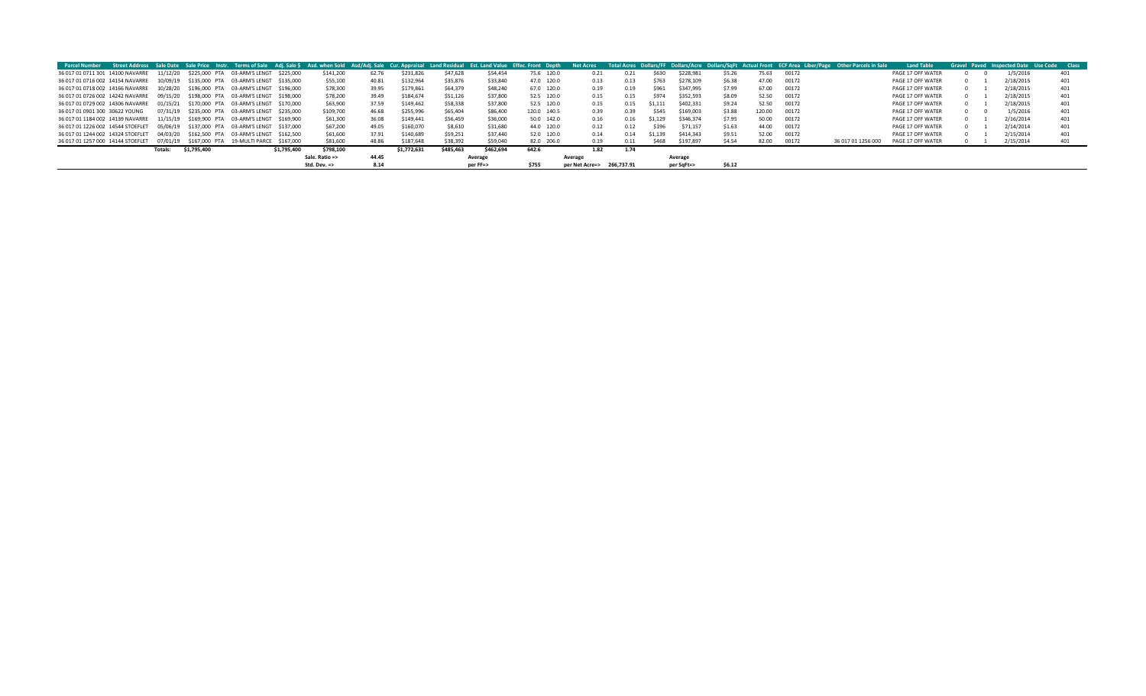|                                                                                       |                |             |                                                 |             |                |       |             |           |           | Parcel Number Street Address Sale Date Sale Price Instr. Terms of Sale Adi. Sale S Asd. when Sold Asd/Adi. Sale Cur. Appraisal Land Residual Est. Land Value Effec. Front Depth | <b>Net Acres</b>          |      |         |            |        |        |       | Total Acres Dollars/FF Dollars/Acre Dollars/SqFt Actual Front ECF Area Liber/Page Other Parcels in Sale | <b>Land Table</b> |  | <b>Gravel Paved Inspected Date Use Code Class</b> |     |
|---------------------------------------------------------------------------------------|----------------|-------------|-------------------------------------------------|-------------|----------------|-------|-------------|-----------|-----------|---------------------------------------------------------------------------------------------------------------------------------------------------------------------------------|---------------------------|------|---------|------------|--------|--------|-------|---------------------------------------------------------------------------------------------------------|-------------------|--|---------------------------------------------------|-----|
| 36 017 01 0711 301 14100 NAVARRE                                                      |                |             | 11/12/20 \$225.000 PTA 03-ARM'S LENGT \$225.000 |             | \$141,200      | 62.76 | \$231,826   | \$47,628  | \$54,454  | 75.6 120.0                                                                                                                                                                      | 0.21                      | 0.21 | \$630   | \$228.981  | \$5.26 | 75.63  | 00172 |                                                                                                         | PAGE 17 OFF WATER |  | 1/5/2016                                          | 401 |
| 36 017 01 0716 002 14154 NAVARRE  10/09/19  \$135,000 PTA  03-ARM'S LENGT  \$135,000  |                |             |                                                 |             | \$55,100       | 40.81 | \$132,964   | \$35,876  | \$33,840  | 47.0 120.0                                                                                                                                                                      | 0.13                      | 0.13 | S763    | \$278.109  | \$6.38 | 47.00  | 00172 |                                                                                                         | PAGE 17 OFF WATER |  | 2/18/2015                                         | 401 |
| 36 017 01 0718 002 14166 NAVARRE  10/28/20 \$196,000 PTA  03-ARM'S LENGT  \$196,000   |                |             |                                                 |             | \$78,300       | 39.95 | \$179,861   | \$64,379  | \$48,240  | 67.0 120.0                                                                                                                                                                      | 0.19                      | 0.19 | \$961   | \$347.995  | \$7.99 | 67.00  | 00172 |                                                                                                         | PAGE 17 OFF WATER |  | 2/18/2015                                         | 401 |
| 36 017 01 0726 002 14242 NAVARRE  09/15/20  \$198,000 PTA  03-ARM'S LENGT  \$198,000  |                |             |                                                 |             | \$78,200       | 39.49 | \$184,674   | \$51,126  | \$37,800  | 52.5 120.0                                                                                                                                                                      | 0.15                      | 0.15 | \$974   | \$352.593  | \$8.09 | 52.50  | 00172 |                                                                                                         | PAGE 17 OFF WATER |  | 2/18/2015                                         | 401 |
| 36 017 01 0729 002 14306 NAVARRE                                                      |                |             | 01/15/21 \$170.000 PTA 03-ARM'S LENGT \$170.000 |             | \$63,900       | 37.59 | \$149,462   | \$58,338  | \$37,800  | 52.5 120.0                                                                                                                                                                      | 0.15                      | 0.15 | \$1.111 | \$402.331  | \$9.24 | 52.50  | 00172 |                                                                                                         | PAGE 17 OFF WATER |  | 2/18/2015                                         | 401 |
| 36 017 01 0901 300 30622 YOUNG                                                        |                |             | 07/31/19 \$235,000 PTA 03-ARM'S LENGT \$235,000 |             | \$109,700      | 46.68 | \$255,996   | \$65,404  | \$86,400  | 120.0 140.5                                                                                                                                                                     | 0.39                      | 0.39 | \$545   | \$169,003  | \$3.88 | 120.00 | 00172 |                                                                                                         | PAGE 17 OFF WATER |  | 1/5/2016                                          | 401 |
| 36 017 01 1184 002 14139 NAVARRE                                                      |                |             | 11/15/19 \$169.900 PTA 03-ARM'S LENGT \$169.900 |             | \$61,300       | 36.08 | \$149,441   | \$56,459  | \$36,000  | 50.0 142.0                                                                                                                                                                      | 0.16                      | 0.16 | \$1.129 | \$346.374  | \$7.95 | 50.00  | 00172 |                                                                                                         | PAGE 17 OFF WATER |  | 2/16/2014                                         | 401 |
| 36 017 01 1226 002 14544 STOEFLET  05/06/19  \$137,000 PTA  03-ARM'S LENGT  \$137,000 |                |             |                                                 |             | \$67,200       | 49.05 | \$160,070   | \$8.610   | \$31,680  | 44.0 120.0                                                                                                                                                                      | 0.12                      | 0.12 | \$196   | \$71.157   | \$1.63 | 44.00  | 00172 |                                                                                                         | PAGE 17 OFF WATER |  | 2/14/2014                                         | 401 |
| 36 017 01 1244 002 14324 STOEFLET                                                     |                |             | 04/03/20 \$162.500 PTA 03-ARM'S LENGT \$162.500 |             | \$61,600       | 37.91 | \$140,689   | \$59,251  | \$37,440  | 52.0 120.0                                                                                                                                                                      | 0.14                      | 0.14 | \$1.139 | \$414,343  | \$9.51 | 52.00  | 00172 |                                                                                                         | PAGE 17 OFF WATER |  | 2/15/2014                                         | 401 |
| 36 017 01 1257 000 14144 STOEFLET  07/01/19  \$167,000 PTA  19-MULTI PARCE  \$167,000 |                |             |                                                 |             | \$81,600       | 48.86 | \$187,648   | \$38,392  | \$59,040  | 82.0 206.0                                                                                                                                                                      | 0.19                      | 0.11 | S468    | \$197.897  | \$4.54 | 82.00  | 00172 | 36 017 01 1256 000                                                                                      | PAGE 17 OFF WATER |  | 2/15/2014                                         | 401 |
|                                                                                       | <b>Totals:</b> | \$1,795,400 |                                                 | \$1,795,400 | \$798,100      |       | \$1.772.631 | \$485,463 | \$462,694 | 642.6                                                                                                                                                                           | 1.82                      | 1.74 |         |            |        |        |       |                                                                                                         |                   |  |                                                   |     |
|                                                                                       |                |             |                                                 |             | Sale. Ratio => | 44.45 |             |           | Average   |                                                                                                                                                                                 | Average                   |      |         | Average    |        |        |       |                                                                                                         |                   |  |                                                   |     |
|                                                                                       |                |             |                                                 |             | Std. Dev. =>   | 8.14  |             |           | per FF=>  | \$755                                                                                                                                                                           | per Net Acre=> 266,737.91 |      |         | per SqFt=> | \$6.12 |        |       |                                                                                                         |                   |  |                                                   |     |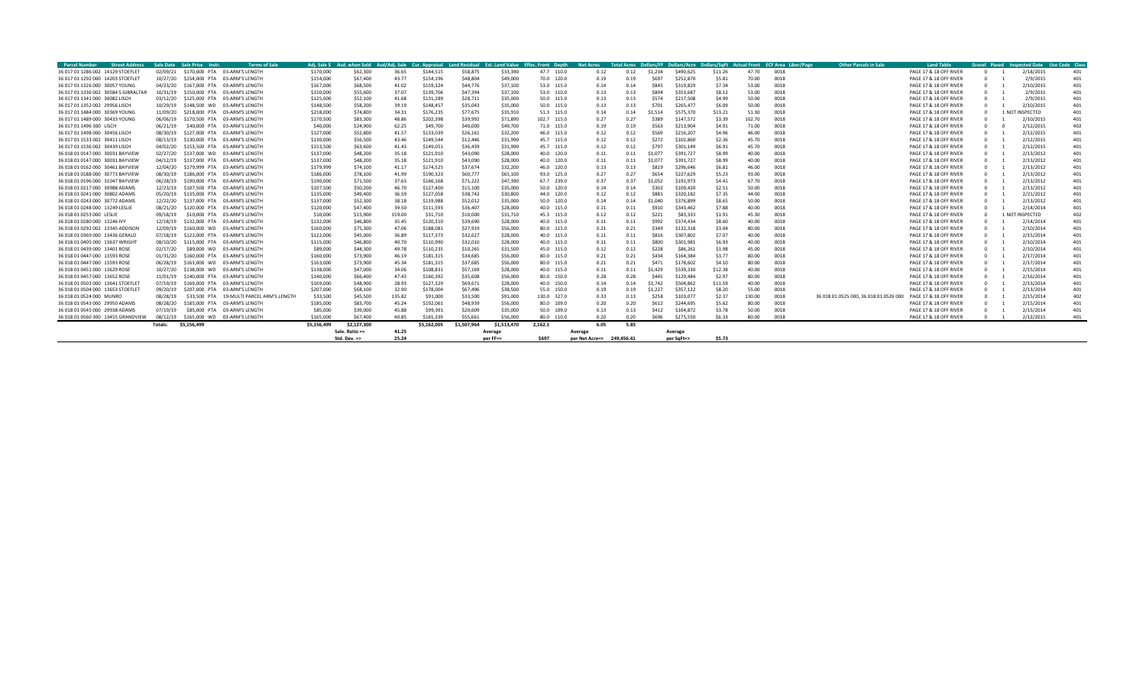| <b>Parcel Number</b><br><b>Street Address</b> |          | Sale Date Sale Price Instr | <b>Terms of Sale</b>                      | Adi. Sale S |                |        |             |             | Asd. when Sold Asd/Adi. Sale Cur. Appraisal Land Residual Est. Land Value Effec. Front Depth |             | <b>Net Acres</b>          |      |              |            |         |        | Total Acres Dollars/FF Dollars/Acre Dollars/SqFt Actual Front ECF Area Liber/Page | <b>Other Parcels in Sale</b>           | <b>Land Table</b>      |  | Gravel Paved Inspected Date Use Code Clas |     |
|-----------------------------------------------|----------|----------------------------|-------------------------------------------|-------------|----------------|--------|-------------|-------------|----------------------------------------------------------------------------------------------|-------------|---------------------------|------|--------------|------------|---------|--------|-----------------------------------------------------------------------------------|----------------------------------------|------------------------|--|-------------------------------------------|-----|
| 36 017 01 1286 002 14129 STOEFLET             | 02/09/21 |                            | \$170,000 PTA 03-ARM'S LENGTH             | \$170,000   | \$62,300       | 36.65  | \$144.515   | \$58,875    | \$33,390                                                                                     | 47.7 110.0  | 0.12                      | 0.12 | \$1,234      | \$490,625  | \$11.26 | 47.70  | 0018                                                                              |                                        | PAGE 17 & 18 OFF RIVER |  | 2/18/2015                                 | 401 |
| 36 017 01 1292 000 14203 STOEFLET             | 10/27/20 |                            | \$154,000 PTA 03-ARM'S LENGTH             | \$154,000   | \$67,400       | 43.77  | \$154,196   | \$48,804    | \$49,000                                                                                     | 70.0 120.0  | 0.19                      | 0.19 | <b>S697</b>  | \$252,870  | \$5.81  | 70.00  | 0018                                                                              |                                        | PAGE 17 & 18 OFF RIVER |  | 2/9/2015                                  | 401 |
| 36 017 01 1326 000 30057 YOUNG                | 04/23/20 |                            | \$167,000 PTA 03-ARM'S LENGTH             | \$167,000   | \$68,500       | 41.02  | \$159,324   | \$44,776    | \$37,100                                                                                     | 53.0 115.0  | 0.14                      | 0.14 | \$845        | \$319.829  | \$7.34  | 53.00  | 0018                                                                              |                                        | PAGE 17 & 18 OFF RIVER |  | 2/10/2015                                 | 401 |
| 36 017 01 1336 002 30584 S GIBRALTAR          | 10/31/19 |                            | \$150,000 PTA 03-ARM'S LENGTH             | \$150,000   | \$55,600       | 37.07  | \$139,706   | \$47,394    | \$37,100                                                                                     | 53.0 110.0  | 0.13                      | 0.13 | <b>\$894</b> | \$353,687  | \$8.12  | 53.00  | 0018                                                                              |                                        | PAGE 17 & 18 OFF RIVER |  | 2/9/2015                                  | 401 |
| 36 017 01 1341 000 30082 LISCH                | 03/12/20 | \$125,000 PTA              | 03-ARM'S LENGTH                           | \$125,000   | \$52,100       | 41.68  | \$131.289   | \$28.711    | \$35,000                                                                                     | 50.0 115.0  | 0.13                      | 0.13 | \$574        | \$217,508  | \$4.99  | 50.00  | 0018                                                                              |                                        | PAGE 17 & 18 OFF RIVER |  | 2/9/2015                                  | 401 |
| 36 017 01 1352 002 29956 LISCH                | 10/29/19 |                            | \$148,500 WD 03-ARM'S LENGTH              | \$148.500   | \$58,200       | 39.19  | \$148.457   | \$35.043    | \$35,000                                                                                     | 50.0 115.0  | 0.13                      | 0.13 | \$701        | \$265,477  | \$6.09  | 50.00  | 0018                                                                              |                                        | PAGE 17 & 18 OFF RIVER |  | 2/10/201                                  | 401 |
| 36 017 01 1484 000 30369 YOUNG                | 11/09/20 |                            | \$218,000 PTA 03-ARM'S LENGTH             | \$218,000   | \$74,800       | 34.31  | \$176,235   | \$77.675    | \$35,910                                                                                     | 51.3 115.0  | 0.14                      | 0.14 | \$1.514      | \$575,370  | \$13.21 | 51.30  | 0018                                                                              |                                        | PAGE 17 & 18 OFF RIVER |  | 1 NOT INSPECTED                           | 401 |
| 36 017 01 1489 000 30433 YOUNG                | 06/06/19 |                            | \$170,500 PTA 03-ARM'S LENGTH             | \$170,500   | \$83,300       | 48.86  | \$202.398   | \$39,992    | \$71,890                                                                                     | 102.7 115.0 | 0.27                      | 0.27 | \$389        | \$147.572  | \$3.39  | 102.70 | 0018                                                                              |                                        | PAGE 17 & 18 OFF RIVER |  | 2/10/2015                                 | 401 |
| 36 017 01 1496 300 LISCH                      | 06/21/19 |                            | \$40,000 PTA 03-ARM'S LENGTH              | \$40,000    | \$24,900       | 62.25  | \$49,700    | \$40,000    | \$49,700                                                                                     | 71.0 115.0  | 0.19                      | 0.19 | \$563        | \$213,904  | \$4.91  | 71.00  | 0018                                                                              |                                        | PAGE 17 & 18 OFF RIVER |  | 2/12/2015                                 | 402 |
| 36 017 01 1498 000 30456 LISCH                | 08/30/19 |                            | \$127,000 PTA 03-ARM'S LENGTH             | \$127,000   | \$52,800       | 41.57  | \$133,039   | \$26,161    | \$32,200                                                                                     | 46.0 115.0  | 0.12                      | 0.12 | \$569        | \$216,207  | \$4.96  | 46.00  | 0018                                                                              |                                        | PAGE 17 & 18 OFF RIVER |  | 2/12/2015                                 | 401 |
| 36 017 01 1533 002 30411 LISCH                | 08/13/19 | \$130,000 PTA              | 03-ARM'S LENGTH                           | \$130,000   | \$56,500       | 43.46  | \$149,544   | \$12,446    | \$31,990                                                                                     | 45.7 115.0  | 0.12                      | 0.12 | \$272        | \$102,860  | \$2.36  | 45.70  | 0018                                                                              |                                        | PAGE 17 & 18 OFF RIVER |  | 2/12/2015                                 | 401 |
| 36 017 01 1536 002 30439 LISCH                | 04/02/20 |                            | \$153,500 PTA 03-ARM'S LENGTH             | \$153,500   | \$63,600       | 41.43  | \$149,051   | \$36,439    | \$31,990                                                                                     | 45.7 115.0  | 0.12                      | 0.12 | \$797        | \$301,149  | \$6.91  | 45.70  | 0018                                                                              |                                        | PAGE 17 & 18 OFF RIVER |  | 2/12/2015                                 | 401 |
| 36 018 01 0147 000 30031 BAYVIEW              | 02/27/20 |                            | \$137,000 WD 03-ARM'S LENGTH              | \$137,000   | \$48,200       | 35.18  | \$121,910   | \$43,090    | \$28,000                                                                                     | 40.0 120.0  | 0.11                      | 0.11 |              | \$391,727  | \$8.99  | 40.00  | 0018                                                                              |                                        | PAGE 17 & 18 OFF RIVER |  | 2/13/2012                                 | 401 |
| 36 018 01 0147 000 30031 BAYVIEW              | 04/12/19 |                            | \$137,000 PTA 03-ARM'S LENGTH             | \$137,000   | \$48,200       | 35.18  | \$121,910   | \$43,090    | \$28,000                                                                                     | 40.0 120.0  | 0.11                      | 0.11 | \$1,077      | \$391,727  | \$8.99  | 40.00  | 0018                                                                              |                                        | PAGE 17 & 18 OFF RIVER |  | 2/13/2012                                 | 401 |
| 36 018 01 0162 000 30461 BAYVIEW              | 12/04/20 | \$179,999 PTA              | 03-ARM'S LENGTH                           | \$179,999   | \$74,100       | 41.17  | \$174,525   | \$37,674    | \$32,200                                                                                     | 46.0 120.0  | 0.13                      | 0.13 | \$819        | \$296,646  | \$6.81  | 46.00  | 0018                                                                              |                                        | PAGE 17 & 18 OFF RIVER |  | 2/13/2012                                 | 401 |
| 36 018 01 0188 000 30773 BAYVIEW              | 08/30/19 | \$186,000 PTA              | 03-ARM'S LENGTH                           | \$186,000   | \$78,100       | 41.99  | \$190,323   | \$60,777    | \$65,100                                                                                     | 93.0 125.0  | 0.27                      | 0.27 | \$654        | \$227.629  | \$5.23  | 93.00  | 0018                                                                              |                                        | PAGE 17 & 18 OFF RIVER |  | 2/13/2012                                 | 401 |
| 36 018 01 0196 000 31047 BAYVIEW              | 06/28/19 |                            | \$190,000 PTA 03-ARM'S LENGTH             | \$190,000   | \$71,500       | 37.63  | \$166,168   | \$71,222    | \$47,390                                                                                     | 67.7 239.0  | 0.37                      | 0.37 | \$1.052      | \$191,973  | \$4.41  | 67.70  | 0018                                                                              |                                        | PAGE 17 & 18 OFF RIVER |  | 2/13/2012                                 | 401 |
| 36 018 01 0217 000 30988 ADAMS                | 12/23/19 |                            | \$107,500 PTA 03-ARM'S LENGTH             | \$107,500   | \$50,200       | 46.70  | \$127,400   | \$15,100    | \$35,000                                                                                     | 50.0 120.0  | 0.14                      | 0.14 | \$302        | \$109.420  | \$2.51  | 50.00  | 0018                                                                              |                                        | PAGE 17 & 18 OFF RIVER |  | 2/13/2012                                 | 401 |
| 36 018 01 0241 000 30802 ADAMS                | 05/20/19 |                            | \$135,000 PTA 03-ARM'S LENGTH             | \$135,000   | \$49,400       | 36.59  | \$127,058   | \$38,742    | \$30,800                                                                                     | 44.0 120.0  | 0.12                      | 0.12 | <b>\$881</b> | \$320,182  | \$7.35  | 44.00  | 0018                                                                              |                                        | PAGE 17 & 18 OFF RIVER |  | 2/21/2012                                 | 401 |
| 36 018 01 0243 000 30772 ADAMS                | 12/22/20 |                            | \$137,000 PTA 03-ARM'S LENGTH             | \$137,000   | \$52,300       | 38.18  | \$119,988   | \$52,012    | \$35,000                                                                                     | 50.0 120.0  | 0.14                      | 0.14 | \$1.040      | \$376.899  | \$8.65  | 50.00  | 0018                                                                              |                                        | PAGE 17 & 18 OFF RIVER |  | 2/13/2012                                 | 401 |
| 36 018 01 0248 000 13249 LESLIE               | 08/21/20 | \$120,000 PTA              | 03-ARM'S LENGTH                           | \$120,000   | \$47,400       | 39.50  | \$111,593   | \$36,407    | \$28,000                                                                                     | 40.0 115.0  | 0.11                      | 0.11 | \$910        | \$343,462  | \$7.88  | 40.00  | 0018                                                                              |                                        | PAGE 17 & 18 OFF RIVER |  | 2/14/201                                  | 401 |
| 36 018 01 0253 000 LESLIE                     | 09/18/19 |                            | \$10,000 PTA 03-ARM'S LENGTH              | \$10,000    | \$15,900       | 159.00 | \$31,710    | \$10,000    | \$31,710                                                                                     | 45.3 115.0  | 0.12                      | 0.12 | \$221        | \$83,333   | \$1.91  | 45.30  | 0018                                                                              |                                        | PAGE 17 & 18 OFF RIVER |  | 1 NOT INSPECTED                           | 402 |
| 36 018 01 0280 000 13246 IVY                  | 12/18/19 |                            | \$132,000 PTA 03-ARM'S LENGTH             | \$132,000   | \$46,800       | 35.45  | \$120,310   | \$39,690    | \$28,000                                                                                     | 40.0 115.0  | 0.11                      | 0.11 | \$992        | \$374,434  | \$8.60  | 40.00  | 0018                                                                              |                                        | PAGE 17 & 18 OFF RIVER |  | 2/14/2014                                 | 401 |
| 36 018 01 0292 002 13345 ADDISON              | 12/09/19 | \$160,000 WD               | 03-ARM'S LENGTH                           | \$160,000   | \$75,300       | 47.06  | \$188,081   | \$27,919    | \$56,000                                                                                     | 80.0 115.0  | 0.21                      | 0.21 | \$349        | \$132,318  | \$3.04  | 80.00  | 0018                                                                              |                                        | PAGE 17 & 18 OFF RIVER |  | 2/10/2014                                 | 401 |
| 36 018 01 0369 000 13436 GERALD               | 07/18/19 |                            | \$122,000 PTA 03-ARM'S LENGTH             | \$122,000   | \$45,000       | 36.89  | \$117,373   | \$32,627    | \$28,000                                                                                     | 40.0 115.0  | 0.11                      | 0.11 | <b>S816</b>  | \$307,802  | \$7.07  | 40.00  | 0018                                                                              |                                        | PAGE 17 & 18 OFF RIVER |  | 2/15/2014                                 | 401 |
| 36 018 01 0405 000 13637 WRIGH                | 08/10/20 | \$115,000 PTA              | 03-ARM'S LENGTH                           | \$115,000   | \$46,800       | 40.70  | \$110,990   | \$32,010    | \$28,000                                                                                     | 40.0 115.0  | 0.11                      | 0.11 | \$800        | \$301.981  | \$6.93  | 40.00  | 0018                                                                              |                                        | PAGE 17 & 18 OFF RIVER |  | 2/10/2014                                 | 401 |
| 36 018 01 0439 000 13401 ROSE                 | 02/17/20 |                            | \$89,000 WD 03-ARM'S LENGTH               | \$89,000    | \$44,300       | 49.78  | \$110.235   | \$10,265    | \$31,500                                                                                     | 45.0 115.0  | 0.12                      | 0.12 | \$228        | \$86,261   | \$1.98  | 45.00  | 0018                                                                              |                                        | PAGE 17 & 18 OFF RIVER |  | 2/10/2014                                 | 401 |
| 36 018 01 0447 000 13593 ROSE                 | 01/31/20 |                            | \$160,000 PTA 03-ARM'S LENGTH             | \$160,000   | \$73,900       | 46.19  | \$181,315   | \$34,685    | \$56,000                                                                                     | 80.0 115.0  | 0.21                      | 0.21 | \$434        | \$164.384  | \$3.77  | 80.00  | 0018                                                                              |                                        | PAGE 17 & 18 OFF RIVER |  | 2/17/2014                                 | 401 |
| 36 018 01 0447 000 13593 ROSI                 | 06/28/19 |                            | \$163,000 WD 03-ARM'S LENGTH              | \$163,000   | \$73,900       | 45.34  | \$181.315   | \$37.685    | \$56,000                                                                                     | 80.0 115.0  | 0.21                      | 0.21 | <b>\$471</b> | \$178,602  | \$4.10  | 80.00  | 0018                                                                              |                                        | PAGE 17 & 18 OFF RIVER |  | 2/17/2014                                 | 401 |
| 36 018 01 0451 000 13629 ROSE                 | 10/27/20 |                            | \$138,000 WD 03-ARM'S LENGTH              | \$138,000   | \$47,000       | 34.06  | \$108,831   | \$57,169    | \$28,000                                                                                     | 40.0 115.0  | 0.11                      | 0.11 | \$1,429      | \$539,330  | \$12.38 | 40.00  | 0018                                                                              |                                        | PAGE 17 & 18 OFF RIVER |  | 2/15/2014                                 | 401 |
| 36 018 01 0457 000 13652 ROSE                 | 11/01/19 | \$140,000 PTA              | 03-ARM'S LENGTH                           | \$140,000   | \$66,400       | 47.43  | \$160,392   | \$35,608    | \$56,000                                                                                     | 80.0 150.0  | 0.28                      | 0.28 | <b>\$445</b> | \$129.484  | \$2.97  | 80.00  | 0018                                                                              |                                        | PAGE 17 & 18 OFF RIVER |  | 2/16/2014                                 | 401 |
| 36 018 01 0503 000 13641 STOEFLET             | 07/19/19 | \$169,000 PTA              | 03-ARM'S LENGTH                           | \$169.000   | \$48,900       | 28.93  | \$127,329   | \$69,671    | \$28,000                                                                                     | 40.0 150.0  | 0.14                      | 0.14 | \$1.742      | \$504.862  | \$11.59 | 40.00  | 0018                                                                              |                                        | PAGE 17 & 18 OFF RIVER |  | 2/13/2014                                 | 401 |
| 36 018 01 0504 000 13653 STOEFLET             | 09/20/19 |                            | \$207,000 PTA 03-ARM'S LENGTH             | \$207,000   | \$68,100       | 32.90  | \$178,004   | \$67,496    | \$38,500                                                                                     | 55.0 150.0  | 0.19                      | 0.19 | \$1,227      | \$357,122  | \$8.20  | 55.00  | 0018                                                                              |                                        | PAGE 17 & 18 OFF RIVER |  | 2/13/2014                                 | 401 |
| 36 018 01 0524 000 MUNRO                      | 08/28/19 |                            | \$33.500 PTA 19-MULTI PARCEL ARM'S LENGTI | \$33,500    | \$45,500       | 135.82 | \$91,000    | \$33,500    | \$91,000                                                                                     | 130.0 327.0 | 0.33                      | 0.13 | \$258        | \$103,07   | \$2.37  | 130.00 | 0018                                                                              | 36 018 01 0525 000, 36 018 01 0526 000 | PAGE 17 & 18 OFF RIVER |  | 2/15/2014                                 | 402 |
| 36 018 01 0543 000 29950 ADAMS                | 08/28/20 |                            | \$185,000 PTA 03-ARM'S LENGTH             | \$185,000   | \$83,700       | 45.24  | \$192,061   | \$48,939    | \$56,000                                                                                     | 80.0 109.0  | 0.20                      | 0.20 | \$612        | \$244,695  | \$5.62  | 80.00  | 0018                                                                              |                                        | PAGE 17 & 18 OFF RIVER |  | 2/15/2014                                 | 401 |
| 36 018 01 0545 000 29938 ADAMS                | 07/19/19 | \$85,000 PTA               | 03-ARM'S LENGTH                           | \$85,000    | \$39,000       | 45.88  | \$99,391    | \$20,609    | \$35,000                                                                                     | 50.0 109.0  | 0.13                      | 0.13 | \$412        | \$164,87   | \$3.78  | 50.00  | 0018                                                                              |                                        | PAGE 17 & 18 OFF RIVER |  | 2/15/2014                                 | 401 |
| 36 018 01 0560 300 13455 GRANDVIEW            | 08/12/19 |                            | \$165,000 WD 03-ARM'S LENGTH              | \$165,000   | \$67,400       | 40.85  | \$165,339   | \$55,661    | \$56,000                                                                                     | 80.0 110.0  | 0.20                      | 0.20 | \$696        | \$275,550  | \$6.33  | 80.00  | 0018                                                                              |                                        | PAGE 17 & 18 OFF RIVER |  | 2/12/2015                                 | 401 |
|                                               | Totals:  | \$5,156,499                |                                           | \$5.156.499 | \$2,127,300    |        | \$5,162,005 | \$1,507,964 | \$1,513,470                                                                                  | 2,162.1     | 6.05                      | 5.85 |              |            |         |        |                                                                                   |                                        |                        |  |                                           |     |
|                                               |          |                            |                                           |             | Sale. Ratio => | 41.25  |             |             | Average<br>per FF=>                                                                          | \$697       | Average                   |      |              | Average    |         |        |                                                                                   |                                        |                        |  |                                           |     |
|                                               |          |                            |                                           |             | Std. Dev. =>   | 25.24  |             |             |                                                                                              |             | per Net Acre=> 249.456.41 |      |              | per SaFt=> | \$5.73  |        |                                                                                   |                                        |                        |  |                                           |     |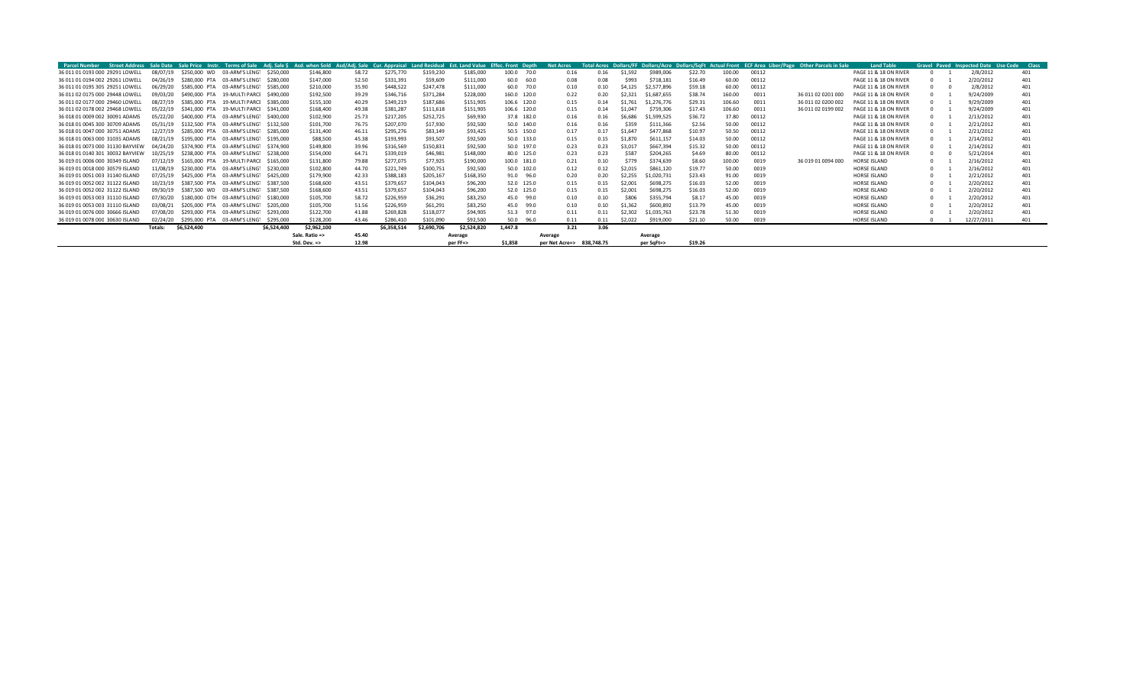| Parcel Number                    |          |             |                                        |             |                |       |             |             |             | Street Address Sale Date Sale Price Instr. Terms of Sale Adi. Sale S Asd. when Sold Asd/Adi. Sale Cur. Appraisal Land Residual Est. Land Value Effec. Front Depth | <b>Net Acres</b>          |      |         |             |         |        |       | Total Acres Dollars/FF Dollars/Acre Dollars/SqFt Actual Front ECF Area Liber/Page Other Parcels in Sale | <b>Land Table</b>     |              | Gravel Paved Inspected Date Use Code | <b>Class</b> |
|----------------------------------|----------|-------------|----------------------------------------|-------------|----------------|-------|-------------|-------------|-------------|-------------------------------------------------------------------------------------------------------------------------------------------------------------------|---------------------------|------|---------|-------------|---------|--------|-------|---------------------------------------------------------------------------------------------------------|-----------------------|--------------|--------------------------------------|--------------|
| 36 011 01 0193 000 29291 LOWELL  | 08/07/19 |             | \$250,000 WD 03-ARM'S LENGT \$250,000  |             | \$146,800      | 58.72 | \$275,770   | \$159,230   | \$185,000   | 100.0 70.0                                                                                                                                                        | 0.16                      | 0.16 | \$1,592 | \$989,006   | \$22.70 | 100.00 | 00112 |                                                                                                         | PAGE 11 & 18 ON RIVER |              | 2/8/2012                             | 401          |
| 36 011 01 0194 002 29261 LOWELL  | 04/26/19 |             | \$280,000 PTA 03-ARM'S LENG1 \$280,000 |             | \$147,000      | 52.50 | \$331,391   | \$59,609    | \$111,000   | 60.0 60.0                                                                                                                                                         | 0.08                      | 0.08 | \$993   | \$718.181   | \$16.49 | 60.00  | 00112 |                                                                                                         | PAGE 11 & 18 ON RIVER | <sup>n</sup> | 2/20/2012                            | 401          |
| 36 011 01 0195 305 29251 LOWELL  | 06/29/20 |             | \$585,000 PTA 03-ARM'S LENG1 \$585,000 |             | \$210,000      | 35.90 | \$448,522   | \$247,478   | \$111,000   | 60.0 70.0                                                                                                                                                         | 0.10                      | 0.10 | \$4,125 | \$2,577,896 | \$59.18 | 60.00  | 00112 |                                                                                                         | PAGE 11 & 18 ON RIVER | n.           | 2/8/2012                             | 401          |
| 36 011 02 0175 000 29448 LOWELL  | 09/03/20 |             | \$490,000 PTA 19-MULTI PARCI \$490,000 |             | \$192,500      | 39.29 | \$346,716   | \$371,284   | \$228,000   | 160.0 120.0                                                                                                                                                       | 0.22                      | 0.20 | \$2.321 | \$1,687,655 | \$38.74 | 160.00 | 0011  | 36 011 02 0201 000                                                                                      | PAGE 11 & 18 ON RIVER |              | 9/24/2009                            | 401          |
| 36 011 02 0177 000 29460 LOWELL  | 08/27/19 |             | \$385,000 PTA 19-MULTI PARCE \$385,000 |             | \$155,100      | 40.29 | \$349,219   | \$187,686   | \$151,905   | 106.6 120.0                                                                                                                                                       | 0.15                      | 0.14 | \$1,761 | \$1,276,776 | \$29.31 | 106.60 | 0011  | 36 011 02 0200 002                                                                                      | PAGE 11 & 18 ON RIVER |              | 9/29/2009                            | 401          |
| 36 011 02 0178 002 29468 LOWELL  | 05/22/19 |             | \$341,000 PTA 19-MULTI PARCI \$341,000 |             | \$168,400      | 49.38 | \$381,287   | \$111,618   | \$151,905   | 106.6 120.0                                                                                                                                                       | 0.15                      | 0.14 | \$1.047 | \$759.306   | \$17.43 | 106.60 | 0011  | 36 011 02 0199 002                                                                                      | PAGE 11 & 18 ON RIVER |              | 9/24/2009                            | 401          |
| 36 018 01 0009 002 30091 ADAMS   | 05/22/20 |             | \$400,000 PTA 03-ARM'S LENGT \$400,000 |             | \$102,900      | 25.73 | \$217,205   | \$252,725   | \$69,930    | 37.8 182.0                                                                                                                                                        | 0.16                      | 0.16 | \$6,686 | \$1,599,525 | \$36.72 | 37.80  | 00112 |                                                                                                         | PAGE 11 & 18 ON RIVER | 0            | 2/13/2012                            | 401          |
| 36 018 01 0045 300 30709 ADAMS   | 05/31/19 |             | \$132,500 PTA 03-ARM'S LENG1 \$132,500 |             | \$101,700      | 76.75 | \$207,070   | \$17,930    | \$92,500    | 50.0 140.0                                                                                                                                                        | 0.16                      | 0.16 | \$359   | \$111,366   | \$2.56  | 50.00  | 00112 |                                                                                                         | PAGE 11 & 18 ON RIVER |              | 2/21/2012                            | 401          |
| 36 018 01 0047 000 30751 ADAMS   | 12/27/19 |             | \$285,000 PTA 03-ARM'S LENGT \$285,000 |             | \$131,400      | 46.11 | \$295,276   | \$83,149    | \$93,425    | 50.5 150.0                                                                                                                                                        | 0.17                      | 0.17 | \$1,647 | \$477,868   | \$10.97 | 50.50  | 00112 |                                                                                                         | PAGE 11 & 18 ON RIVER | n.           | 2/21/2012                            | 401          |
| 36 018 01 0063 000 31035 ADAMS   | 08/21/19 |             | \$195,000 PTA 03-ARM'S LENG1 \$195,000 |             | \$88,500       | 45.38 | \$193,993   | \$93,507    | \$92,500    | 50.0 133.0                                                                                                                                                        | 0.15                      | 0.15 | \$1,870 | \$611.157   | \$14.03 | 50.00  | 00112 |                                                                                                         | PAGE 11 & 18 ON RIVER |              | 2/14/2012                            | 401          |
| 36 018 01 0073 000 31130 BAYVIEW | 04/24/20 |             | \$374,900 PTA 03-ARM'S LENGT \$374,900 |             | \$149,800      | 39.96 | \$316,569   | \$150,831   | \$92,500    | 50.0 197.0                                                                                                                                                        | 0.23                      | 0.23 | \$3,01  | \$667,394   | \$15.32 | 50.00  | 00112 |                                                                                                         | PAGE 11 & 18 ON RIVER | n.           | 2/14/2012                            | 401          |
| 36 018 01 0140 301 30032 BAYVIEW | 10/25/19 |             | \$238,000 PTA 03-ARM'S LENG1 \$238,000 |             | \$154,000      | 64.71 | \$339,019   | \$46,981    | \$148,000   | 80.0 125.0                                                                                                                                                        | 0.23                      | 0.23 | \$587   | \$204,265   | \$4.69  | 80.00  | 00112 |                                                                                                         | PAGE 11 & 18 ON RIVER | 0            | 5/21/2014                            | 401          |
| 36 019 01 0006 000 30349 ISLAND  | 07/12/19 |             | \$165,000 PTA 19-MULTI PARCE \$165,000 |             | \$131,800      | 79.88 | \$277,075   | \$77,925    | \$190,000   | 100.0 181.0                                                                                                                                                       | 0.21                      | 0.10 | \$779   | \$374,639   | \$8.60  | 100.00 | 0019  | 36 019 01 0094 000                                                                                      | HORSE ISLAND          | 0            | 2/16/2012                            | 401          |
| 36 019 01 0018 000 30579 ISLAND  | 11/08/19 |             | \$230,000 PTA 03-ARM'S LENG1 \$230,000 |             | \$102,800      | 44.70 | \$221,749   | \$100,751   | \$92,500    | 50.0 102.0                                                                                                                                                        | 0.12                      | 0.12 | \$2,015 | \$861,120   | \$19.77 | 50.00  | 0019  |                                                                                                         | HORSE ISLAND          | 0            | 2/16/2012                            | 401          |
| 36 019 01 0051 003 31140 ISLAND  | 07/25/19 |             | \$425,000 PTA 03-ARM'S LENGT \$425,000 |             | \$179,900      | 42.33 | \$388,183   | \$205,167   | \$168,350   | 91.0 96.0                                                                                                                                                         | 0.20                      | 0.20 | \$2,255 | \$1,020,731 | \$23.43 | 91.00  | 0019  |                                                                                                         | HORSE ISLAND          | 0            | 2/21/2012                            | 401          |
| 36 019 01 0052 002 31122 ISLAND  | 10/23/19 |             | \$387,500 PTA 03-ARM'S LENG1 \$387,500 |             | \$168,600      | 43.51 | \$379,657   | \$104,043   | \$96,200    | 52.0 125.0                                                                                                                                                        | 0.15                      | 0.15 | \$2,001 | \$698,275   | \$16.03 | 52.00  | 0019  |                                                                                                         | HORSE ISLAND          | 0            | 2/20/2012                            | 401          |
| 36 019 01 0052 002 31122 ISLAND  | 09/30/19 |             | \$387,500 WD 03-ARM'S LENG1 \$387,500  |             | \$168,600      | 43.51 | \$379,657   | \$104,043   | \$96,200    | 52.0 125.0                                                                                                                                                        | 0.15                      | 0.15 | \$2,001 | \$698,275   | \$16.03 | 52.00  | 0019  |                                                                                                         | HORSE ISLAND          | n.           | 2/20/2012                            | 401          |
| 36 019 01 0053 003 31110 ISLAND  | 07/30/20 |             | \$180,000 OTH 03-ARM'S LENG1 \$180,000 |             | \$105,700      | 58.72 | \$226,959   | \$36,291    | \$83,250    | 45.0<br>99.0                                                                                                                                                      | 0.10                      | 0.10 | \$806   | \$355,794   | \$8.17  | 45.00  | 0019  |                                                                                                         | HORSE ISLAND          | n.           | 2/20/2012                            | 401          |
| 36 019 01 0053 003 31110 ISLAND  | 03/08/21 |             | \$205,000 PTA 03-ARM'S LENG1 \$205,000 |             | \$105,700      | 51.56 | \$226,959   | \$61,291    | \$83,250    | 45.0<br>99.0                                                                                                                                                      | 0.10                      | 0.10 | \$1,362 | \$600,892   | \$13.79 | 45.00  | 0019  |                                                                                                         | HORSE ISLAND          | n.           | 2/20/2012                            | 401          |
| 36 019 01 0076 000 30666 ISLAND  | 07/08/20 |             | \$293,000 PTA 03-ARM'S LENG1 \$293,000 |             | \$122,700      | 41.88 | \$269,828   | \$118,077   | \$94,905    | 51.3 97.0                                                                                                                                                         | 0.11                      | 0.11 | \$2,302 | \$1,035,763 | \$23.78 | 51.30  | 0019  |                                                                                                         | <b>HORSE ISLAND</b>   | n.           | 2/20/2012                            | 401          |
| 36 019 01 0078 000 30630 ISLAND  | 02/24/20 |             | \$295,000 PTA 03-ARM'S LENG1 \$295,000 |             | \$128,200      | 43.46 | \$286,410   | \$101,090   | \$92,500    | 50.0 96.0                                                                                                                                                         | 0.11                      | 0.11 | \$2,022 | \$919,000   | \$21.10 | 50.00  | 0019  |                                                                                                         | <b>HORSE ISLAND</b>   | $\Omega$     | 12/27/2011                           | 401          |
|                                  | Totals:  | \$6,524,400 |                                        | \$6.524.400 | \$2,962,100    |       | \$6,358,514 | \$2,690,706 | \$2.524.820 | 1.447.8                                                                                                                                                           | 3.21                      | 3.06 |         |             |         |        |       |                                                                                                         |                       |              |                                      |              |
|                                  |          |             |                                        |             | Sale. Ratio => | 45.40 |             |             | Average     |                                                                                                                                                                   | Average                   |      |         | Average     |         |        |       |                                                                                                         |                       |              |                                      |              |
|                                  |          |             |                                        |             | Std. Dev. =>   | 12.98 |             |             | per FF=>    | \$1,858                                                                                                                                                           | per Net Acre=> 838.748.75 |      |         | per SqFt=>  | \$19.26 |        |       |                                                                                                         |                       |              |                                      |              |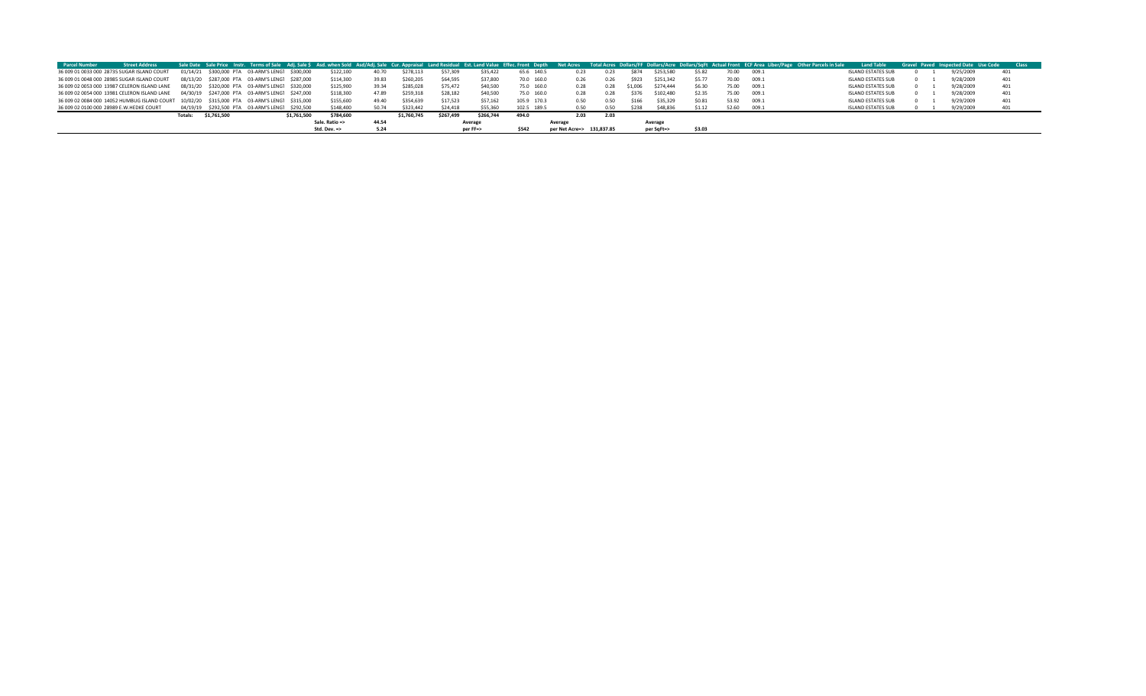| <b>Parcel Number</b>                     | <b>Street Address</b>                                                                        |         |                                                 |             |                |       |             |           |           |             |                           |      |         |            |        |       | Sale Date Sale Price Instr. Terms of Sale Adj. Sale \$ Asd. when Sold Asd/Adj. Sale Cur. Appraisal Land Residual Est. Land Value Effec. Front Depth Net Acres Total Acres Dollars/FF Dollars/Acre Dollars/SqFt Actual Front ECF | <b>Land Table</b>         |  | Gravel Paved Inspected Date Use Code | <b>Class</b> |
|------------------------------------------|----------------------------------------------------------------------------------------------|---------|-------------------------------------------------|-------------|----------------|-------|-------------|-----------|-----------|-------------|---------------------------|------|---------|------------|--------|-------|---------------------------------------------------------------------------------------------------------------------------------------------------------------------------------------------------------------------------------|---------------------------|--|--------------------------------------|--------------|
|                                          | 36 009 01 0033 000 28735 SUGAR ISLAND COURT                                                  |         | 01/14/21 \$300,000 PTA 03-ARM'S LENGT \$300,000 |             | \$122,100      | 40.70 | \$278,113   | \$57,309  | \$35,422  | 65.6 140.5  | 0.23                      | 0.23 | \$874   | \$253.58   | \$5.82 | 70.00 | 009.1                                                                                                                                                                                                                           | <b>ISLAND ESTATES SUB</b> |  | 9/25/2009                            |              |
|                                          | 36 009 01 0048 000 28985 SUGAR ISLAND COURT                                                  |         | 08/13/20 \$287,000 PTA 03-ARM'S LENGT \$287,000 |             | \$114,300      | 39.83 | \$260,205   | \$64,595  | \$37,800  | 70.0 160.0  | 0.26                      | 0.26 | \$923   | \$251,342  | S5.77  | 70.00 | 009.1                                                                                                                                                                                                                           | <b>ISLAND ESTATES SUB</b> |  | 9/28/2009                            | 401          |
|                                          | 36 009 02 0053 000 13987 CELERON ISLAND LANE                                                 |         | 08/31/20 \$320,000 PTA 03-ARM'S LENGT \$320,000 |             | \$125,900      | 39.34 | \$285,028   | \$75,472  | \$40,500  | 75.0 160.0  | 0.28                      | 0.28 | \$1,006 | \$274,444  | \$6.30 | 75.00 | 009.1                                                                                                                                                                                                                           | <b>ISLAND ESTATES SUB</b> |  | 9/28/2009                            | 401          |
|                                          | 36 009 02 0054 000 13981 CELERON ISLAND LANE                                                 |         | 04/30/19 \$247.000 PTA 03-ARM'S LENG1 \$247.000 |             | \$118,300      | 47.89 | \$259.318   | \$28,182  | \$40,500  | 75.0 160.0  | 0.28                      | 0.28 | 5376    | \$102,480  | \$2.35 | 75.00 | 009.1                                                                                                                                                                                                                           | <b>ISLAND ESTATES SUB</b> |  | 9/28/2009                            | 401          |
|                                          | 36 009 02 0084 000 14052 HUMBUG ISLAND COURT 10/02/20 \$315,000 PTA 03-ARM'S LENGT \$315,000 |         |                                                 |             | \$155,600      | 49.40 | \$354,639   | \$17,523  | \$57,162  | 105.9 170.3 | 0.50                      | 0.50 | \$166   | \$35,329   | \$0.81 | 53.92 | 009.1                                                                                                                                                                                                                           | <b>ISLAND ESTATES SUB</b> |  | 9/29/2009                            | 401          |
| 36 009 02 0100 000 28989 E.W.HEDKE COURT |                                                                                              |         | 04/19/19 \$292.500 PTA 03-ARM'S LENG1 \$292.500 |             | \$148,400      | 50.74 | \$323,442   | \$24,418  | \$55,360  | 102.5 189.5 | 0.50                      | 0.50 | \$238   | \$48,836   | \$1.12 | 52.60 | 009.1                                                                                                                                                                                                                           | <b>ISLAND ESTATES SUB</b> |  | 9/29/2009                            |              |
|                                          |                                                                                              | Totals: | \$1,761,500                                     | \$1,761,500 | \$784,600      |       | \$1,760,745 | \$267,499 | \$266,744 | 494.0       | 2.03                      | 2.03 |         |            |        |       |                                                                                                                                                                                                                                 |                           |  |                                      |              |
|                                          |                                                                                              |         |                                                 |             | Sale. Ratio => | 44.54 |             |           | Average   |             | Average                   |      |         | Average    |        |       |                                                                                                                                                                                                                                 |                           |  |                                      |              |
|                                          |                                                                                              |         |                                                 |             | Std. Dev. =>   |       |             |           | per FF=>  | \$542       | per Net Acre=> 131,837.85 |      |         | per SqFt=> | \$3.03 |       |                                                                                                                                                                                                                                 |                           |  |                                      |              |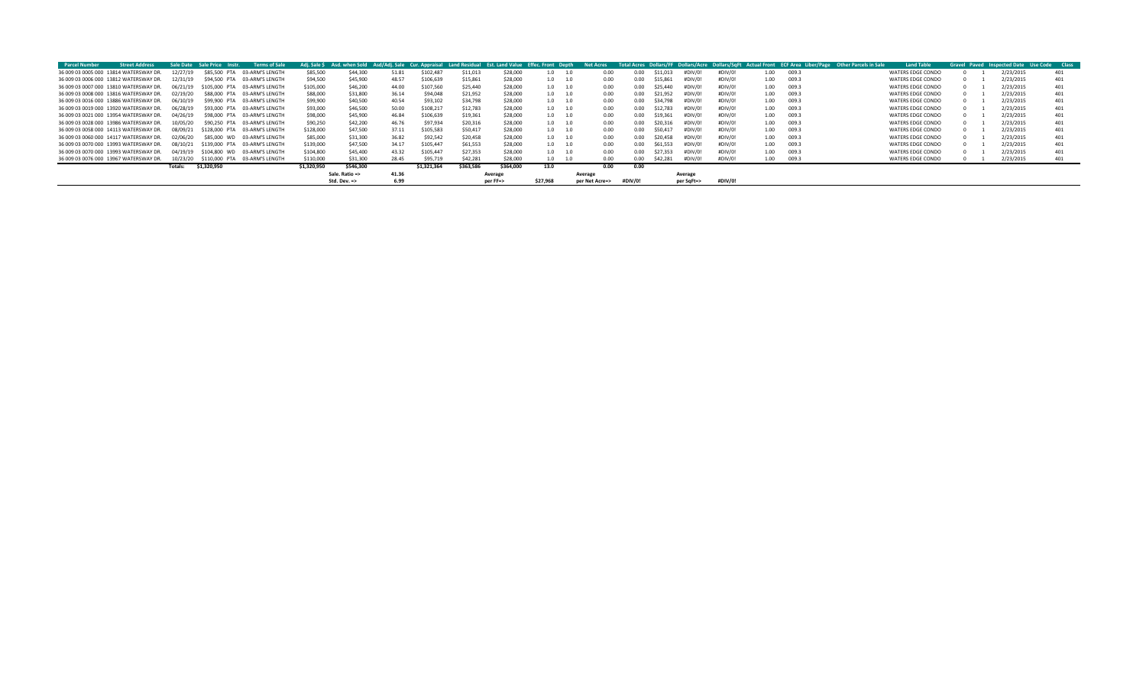| <b>Parcel Number</b>                   | <b>Street Address</b> | Sale Date | Sale Price<br>Instr. | <b>Terms of Sale</b>          | Adj. Sale \$ | Asd. when Sold |       | Asd/Adi. Sale Cur. Appraisal |           | Land Residual Est. Land Value | Effec. Front Depth | <b>Net Acres</b> |      |         |          |            |         |                   |       | Total Acres Dollars/FF Dollars/Acre Dollars/SqFt Actual Front ECF Area Liber/Page Other Parcels in Sale | <b>Land Table</b> |  | <b>Gravel Paved Inspected Date</b> | <b>Use Code</b><br><b>Class</b> |
|----------------------------------------|-----------------------|-----------|----------------------|-------------------------------|--------------|----------------|-------|------------------------------|-----------|-------------------------------|--------------------|------------------|------|---------|----------|------------|---------|-------------------|-------|---------------------------------------------------------------------------------------------------------|-------------------|--|------------------------------------|---------------------------------|
| 36 009 03 0005 000 13814 WATERSWAY DR. |                       |           | \$85,500 PTA         | 03-ARM'S LENGTH               | \$85,500     | \$44,300       | 51.81 | \$102.487                    | \$11,013  | \$28,000                      | 1.0                |                  | 0.00 | 0.00    | \$11,013 | #DIV/C     | #DIV/0! | 1.00              | 009.3 |                                                                                                         | WATERS EDGE CONDO |  | 2/23/2015                          | 401                             |
| 36 009 03 0006 000 13812 WATERSWAY DR. |                       | 12/31/19  | \$94,500 PTA         | 03-ARM'S LENGTH               | \$94,500     | \$45,900       | 48.57 | \$106,639                    | \$15,861  | \$28,000                      | 1.0                | 1.0              | 0.00 | 0.00    | \$15,861 | #DIV/0     | #DIV/0! | 1.00              | 009.3 |                                                                                                         | WATERS EDGE CONDO |  | 2/23/2015                          | 401                             |
| 36 009 03 0007 000 13810 WATERSWAY DR. |                       | 06/21/19  | \$105,000 PTA        | 03-ARM'S LENGTH               | \$105,000    | \$46,200       | 44.00 | \$107,560                    | \$25,440  | \$28,000                      | 1.0                | 1.0              | 0.00 | 0.00    | \$25,440 | #DIV/0     | #DIV/0! | 1.00              | 009.3 |                                                                                                         | WATERS EDGE CONDO |  | 2/23/2015                          | 401                             |
| 36 009 03 0008 000 13816 WATERSWAY DR. |                       | 02/19/20  | \$88,000 PTA         | 03-ARM'S LENGTH               | \$88,000     | \$31,800       | 36.14 | \$94,048                     | \$21.952  | \$28,000                      | 1.0                | 1.0              | 0.00 | 0.00    | \$21.952 | #DIV/0     | #DIV/0! | 1.00              | 009.3 |                                                                                                         | WATERS EDGE CONDO |  | 2/23/2015                          | 401                             |
| 36 009 03 0016 000 13886 WATERSWAY DR. |                       | 06/1      | \$99,900 PTA         | 03-ARM'S LENGTH               | \$99,900     | \$40,500       | 40.54 | \$93,102                     | \$34,798  | \$28,000                      | 1.0                |                  | 0.00 | 0.00    | \$34,798 | #DIV/C     | #DIV/0! | 1.00              | 009.3 |                                                                                                         | WATERS EDGE CONDO |  | 2/23/2015                          | 401                             |
| 36 009 03 0019 000 13920 WATERSWAY DR. |                       | 06/28     |                      | \$93,000 PTA 03-ARM'S LENGTH  | \$93,000     | \$46,500       | 50.00 | \$108.217                    | \$12,783  | \$28,000                      | 1.0                |                  | 0.00 | 0.00    | \$12.783 | #DIV/      | #DIV/0! | 1.00              | 009.3 |                                                                                                         | WATERS EDGE CONDO |  | 2/23/2015                          | 401                             |
| 36 009 03 0021 000 13954 WATERSWAY DR. |                       | 04/26/    |                      | \$98,000 PTA 03-ARM'S LENGTH  | \$98,000     | \$45,900       | 46.84 | \$106,639                    | \$19.361  | \$28,000                      | 1.0                |                  | 0.00 | 0.00    | \$19.36  | #DIV/(     | #DIV/0! | 1.00 <sub>1</sub> | 009.3 |                                                                                                         | WATERS EDGE CONDO |  | 2/23/2015                          | 401                             |
| 36 009 03 0028 000 13986 WATERSWAY DR. |                       |           | \$90,250 PTA         | 03-ARM'S LENGTH               | \$90,250     | \$42,200       | 46.76 | \$97,934                     | \$20,316  | \$28,000                      | 1.0                | 1.0              | 0.00 | 0.00    | \$20.31  | #DIV/(     | #DIV/0! | 1.00              | 009.3 |                                                                                                         | WATERS EDGE CONDO |  | 2/23/2015                          | 401                             |
| 36 009 03 0058 000 14113 WATERSWAY DR. |                       | 08/09/21  | \$128,000 PTA        | 03-ARM'S LENGTH               | \$128,000    | \$47,500       | 37.11 | \$105.583                    | \$50,417  | \$28,000                      | 1.0                |                  | 0.00 | 0.00    | \$50.41  | #DIV/C     | #DIV/0! | 1.00              | 009.3 |                                                                                                         | WATERS EDGE CONDO |  | 2/23/2015                          | 401                             |
| 36 009 03 0060 000 14117 WATERSWAY DR. |                       |           | \$85,000 WD          | 03-ARM'S LENGTH               | \$85,000     | \$31,300       | 36.82 | \$92.542                     | \$20,458  | \$28,000                      | 1.0                |                  | 0.00 | 0.00    | \$20,458 | #DIV/0     | #DIV/0! | 1.00              | 009.3 |                                                                                                         | WATERS EDGE CONDO |  | 2/23/2015                          | 401                             |
| 36 009 03 0070 000 13993 WATERSWAY DR. |                       | 08/10/21  |                      | \$139,000 PTA 03-ARM'S LENGTH | \$139,000    | \$47,500       | 34.17 | \$105,447                    | \$61.553  | \$28,000                      | 1.0                |                  | 0.00 | 0.00    | \$61,553 | #DIV/0     | #DIV/0! | 1.00              | 009.3 |                                                                                                         | WATERS EDGE CONDO |  | 2/23/2015                          | 401                             |
| 36 009 03 0070 000 13993 WATERSWAY DR. |                       | 04/19/19  | \$104,800 WD         | 03-ARM'S LENGTH               | \$104.800    | \$45,400       | 43.32 | \$105,447                    | \$27,353  | \$28,000                      | 1.0                | 1.0              | 0.00 | 0.00    | \$27.353 | #DIV/0     | #DIV/0! | 1.00              | 009.3 |                                                                                                         | WATERS EDGE CONDO |  | 2/23/2015                          | 401                             |
| 36 009 03 0076 000 13967 WATERSWAY DR. |                       | 10/23/20  |                      | \$110,000 PTA 03-ARM'S LENGTH | \$110,000    | \$31,300       | 28.45 | \$95,719                     | \$42,281  | \$28,000                      | 1.0                |                  | 0.00 | 0.00    | \$42,281 | #DIV/0     | #DIV/0! | 1.00              | 009.3 |                                                                                                         | WATERS EDGE CONDO |  | 2/23/2015                          | 401                             |
|                                        |                       | Totals:   | \$1,320,950          |                               | \$1.320.950  | \$546.300      |       | \$1.321.364                  | \$363.586 | \$364.000                     | 13.0               |                  | 0.00 | 0.00    |          |            |         |                   |       |                                                                                                         |                   |  |                                    |                                 |
|                                        |                       |           |                      |                               |              | Sale. Ratio => | 41.36 |                              |           | Average                       |                    | Average          |      |         |          | Average    |         |                   |       |                                                                                                         |                   |  |                                    |                                 |
|                                        |                       |           |                      |                               |              | Std. Dev. =>   | 6.99  |                              |           | ner FF=>                      | \$27.968           | per Net Acre=>   |      | #DIV/0! |          | per SqFt=> | #DIV/0! |                   |       |                                                                                                         |                   |  |                                    |                                 |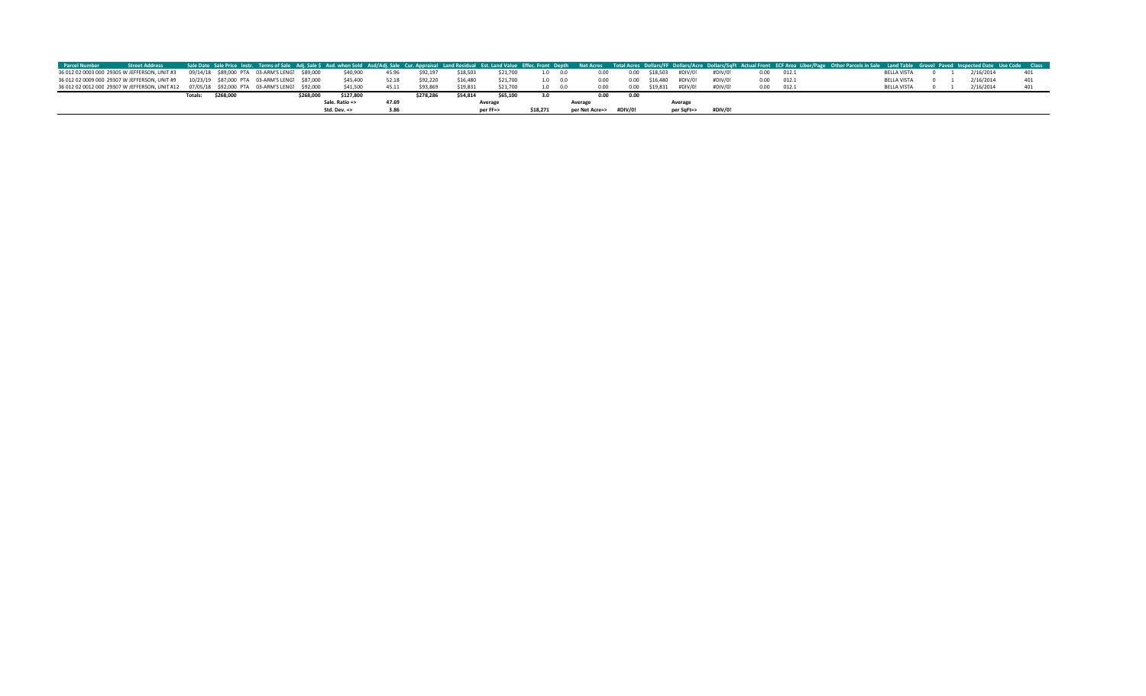| <b>Parcel Number</b> | <b>Street Address</b>                                                                        |                                               |  |           |                         |       |           |          |          |          |                 |                        |      |               |            |         |      |       | Sale Date Sale Price Instr. Terms of Sale Adj. Sale \$ Asd. when Sold Asd/Adj. Sale Cur. Appraisal Land Residual Est. Land Value Effec. Front Depth Net Acres Total Acres Dollars/FF Dollars/SqFt Actual Front ECF Area Liber/P |                    |  |           |  |
|----------------------|----------------------------------------------------------------------------------------------|-----------------------------------------------|--|-----------|-------------------------|-------|-----------|----------|----------|----------|-----------------|------------------------|------|---------------|------------|---------|------|-------|---------------------------------------------------------------------------------------------------------------------------------------------------------------------------------------------------------------------------------|--------------------|--|-----------|--|
|                      | 36 012 02 0003 000 29305 W JEFFERSON, UNIT #3                                                | 09/14/18 \$89,000 PTA 03-ARM'S LENG1 \$89,000 |  |           | \$40,900                | 45.96 | \$92.197  | \$18,503 | \$21,700 |          | $1.0\qquad 0.0$ | 0.00                   |      | 0.00 \$18.503 | #DIV/0!    | #DIV/0! | 0.00 | 012.1 |                                                                                                                                                                                                                                 | BELLA VISTA        |  | 2/16/2014 |  |
|                      | 36 012 02 0009 000 29307 W JEFFERSON, UNIT #9                                                | 10/23/19 \$87,000 PTA 03-ARM'S LENG1 \$87,000 |  |           | \$45,400                | 52.18 | \$92,220  | \$16,480 | \$21,700 |          | $1.0\qquad 0.0$ | 0.00                   |      | 0.00 \$16.480 | #DIV/0!    | #DIV/0! | 0.00 | 012.1 |                                                                                                                                                                                                                                 | <b>BELLA VISTA</b> |  | 2/16/2014 |  |
|                      | 36 012 02 0012 000 29307 W JEFFERSON, UNIT #12 07/05/18 \$92,000 PTA 03-ARM'S LENG1 \$92,000 |                                               |  |           | \$41,500                | 45.11 | \$93,869  | \$19,831 | \$21,700 |          | $1.0\qquad 0.0$ | 0.00                   | 0.00 | \$19.831      | #DIV/0!    | #DIV/0! | 0.00 | 012.1 |                                                                                                                                                                                                                                 | <b>BELLA VISTA</b> |  | 2/16/2014 |  |
|                      |                                                                                              | \$268,000<br><b>Totals</b>                    |  | \$268.000 | \$127,800               |       | \$278.286 | \$54,814 | \$65,100 |          |                 | 0.00                   | 0.00 |               |            |         |      |       |                                                                                                                                                                                                                                 |                    |  |           |  |
|                      |                                                                                              |                                               |  |           | Sale. Ratio =>          | 47.69 |           |          | Average  |          |                 | Average                |      |               | Average    |         |      |       |                                                                                                                                                                                                                                 |                    |  |           |  |
|                      |                                                                                              |                                               |  |           | Std. Dev. $\Rightarrow$ |       |           |          | per FF=> | \$18,271 |                 | per Net Acre=> #DIV/0! |      |               | per SqFt=> | #DIV/0  |      |       |                                                                                                                                                                                                                                 |                    |  |           |  |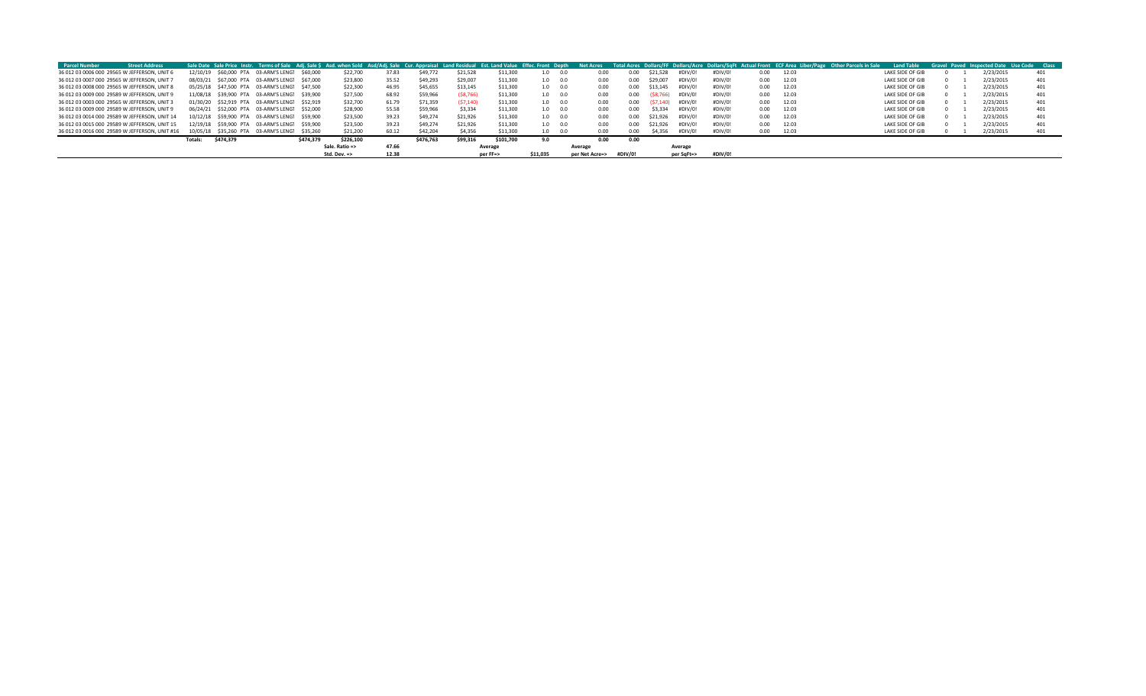| <b>Parcel Number</b>                           | <b>Street Address</b> |          |           |                                               |           |                         |       |           |           |           |          |                 |                |         |               |            |         |      | Sale Date Sale Price Instr. Terms of Sale Adj. Sale \$ Asd. when Sold Asd/Adj. Sale Cur. Appraisal Land Residual Est. Land Value Effec. Front Depth Net Acres Total Acres Dollars/FF Dollars/Acre Dollars/SqFt Actual Front ECF | <b>Land Table</b> |  | Gravel Paved Inspected Date Use Code Class |     |
|------------------------------------------------|-----------------------|----------|-----------|-----------------------------------------------|-----------|-------------------------|-------|-----------|-----------|-----------|----------|-----------------|----------------|---------|---------------|------------|---------|------|---------------------------------------------------------------------------------------------------------------------------------------------------------------------------------------------------------------------------------|-------------------|--|--------------------------------------------|-----|
| 36 012 03 0006 000 29565 W JEFFERSON, UNIT 6   |                       | 12/10/19 |           | \$60,000 PTA 03-ARM'S LENG1 \$60,000          |           | \$22,700                | 37.83 | \$49,772  | \$21,528  | \$11,300  |          | 0.0             | 0.00           | 0.00    | \$21.528      | #DIV/0!    | #DIV/0! | 0.00 | 12.03                                                                                                                                                                                                                           | LAKE SIDE OF GIB  |  | 2/23/2015                                  | 401 |
| 36 012 03 0007 000 29565 W JEFFERSON, UNIT 7   |                       | 08/03/21 |           | \$67,000 PTA 03-ARM'S LENG1 \$67,000          |           | \$23,800                | 35.52 | \$49,293  | \$29,007  | \$11,300  |          | $1.0\qquad 0.0$ | 0.00           | 0.00    | \$29.007      | #DIV/0!    | #DIV/0! | 0.00 | 12.03                                                                                                                                                                                                                           | LAKE SIDE OF GIB  |  | 2/23/2015                                  | 401 |
| 36 012 03 0008 000 29565 W JEFFERSON, UNIT 8   |                       |          |           | 05/25/18 \$47.500 PTA 03-ARM'S LENG1 \$47.500 |           | \$22,300                | 46.95 | \$45,655  | \$13.145  | \$11.300  |          | 1.0 0.0         | 0.00           |         | 0.00 \$13.145 | #DIV/0!    | #DIV/0! | 0.00 | 12.03                                                                                                                                                                                                                           | LAKE SIDE OF GIB  |  | 2/23/2015                                  | 401 |
| 36 012 03 0009 000 29589 W JEFFERSON, UNIT 9   |                       |          |           | 11/08/18 \$39.900 PTA 03-ARM'S LENG1 \$39.900 |           | \$27,500                | 68.92 | \$59,966  | (58, 766) | \$11.300  |          | 1.0 0.0         | 0.00           | 0.00    | (S8.766)      | #DIV/0!    | #DIV/0! | 0.00 | 12.03                                                                                                                                                                                                                           | LAKE SIDE OF GIB  |  | 2/23/2015                                  | 401 |
| 36 012 03 0003 000 29565 W JEFFERSON, UNIT 3   |                       |          |           | 01/30/20 \$52.919 PTA 03-ARM'S LENG1 \$52.919 |           | \$32,700                | 61.79 | \$71,359  | (57, 140) | \$11,300  |          | 1.0 0.0         | 0.00           | 0.00    | (57.140)      | #DIV/0!    | #DIV/0! | 0.00 | 12.03                                                                                                                                                                                                                           | LAKE SIDE OF GIB  |  | 2/23/2015                                  | 401 |
| 36 012 03 0009 000 29589 W JEFFERSON, UNIT 9   |                       |          |           | 06/24/21 \$52,000 PTA 03-ARM'S LENG1 \$52,000 |           | \$28,900                | 55.58 | \$59,966  | \$3,334   | \$11,300  |          | 1.0 0.0         | 0.00           | 0.00    | \$3.334       | #DIV/0!    | #DIV/0! | 0.00 | 12.03                                                                                                                                                                                                                           | LAKE SIDE OF GIB  |  | 2/23/2015                                  | 401 |
| 36 012 03 0014 000 29589 W JEFFERSON, UNIT 14  |                       |          |           | 10/12/18 \$59.900 PTA 03-ARM'S LENG1 \$59.900 |           | \$23,500                | 39.23 | \$49,274  | \$21.926  | \$11,300  |          | $1.0\qquad 0.0$ | 0.00           |         | 0.00 \$21.926 | #DIV/0!    | #DIV/0! | 0.00 | 12.03                                                                                                                                                                                                                           | LAKE SIDE OF GIB  |  | 2/23/2015                                  | 401 |
| 36 012 03 0015 000 29589 W JEFFERSON, UNIT 15  |                       |          |           | 12/19/18 \$59.900 PTA 03-ARM'S LENG1 \$59.900 |           | \$23,500                | 39.23 | \$49,274  | \$21,926  | \$11,300  |          | 1.0 0.0         | 0.00           |         | 0.00 \$21.926 | #DIV/0!    | #DIV/0! | 0.00 | 12.03                                                                                                                                                                                                                           | LAKE SIDE OF GIB  |  | 2/23/2015                                  | 401 |
| 36 012 03 0016 000 29589 W JEFFERSON. UNIT #16 |                       |          |           | 10/05/18 \$35,260 PTA 03-ARM'S LENG1 \$35,260 |           | \$21,200                | 60.12 | \$42,204  | \$4,356   | \$11,300  |          | $1.0\qquad 0.0$ | 0.00           | 0.00    | \$4.356       | #DIV/0!    | #DIV/0! | 0.00 | 12.03                                                                                                                                                                                                                           | LAKE SIDE OF GIB  |  | 2/23/2015                                  | 401 |
|                                                |                       | Totals:  | \$474.379 |                                               | \$474.379 | \$226.100               |       | \$476.763 | \$99.316  | \$101.700 | 9.0      |                 | 0.00           | 0.00    |               |            |         |      |                                                                                                                                                                                                                                 |                   |  |                                            |     |
|                                                |                       |          |           |                                               |           | Sale. Ratio =>          | 47.66 |           |           | Average   |          | Average         |                |         |               | Average    |         |      |                                                                                                                                                                                                                                 |                   |  |                                            |     |
|                                                |                       |          |           |                                               |           | Std. Dev. $\Rightarrow$ | 12.38 |           |           | per FF=>  | \$11.035 |                 | per Net Acre=> | #DIV/0! |               | per SqFt=> | #DIV/0! |      |                                                                                                                                                                                                                                 |                   |  |                                            |     |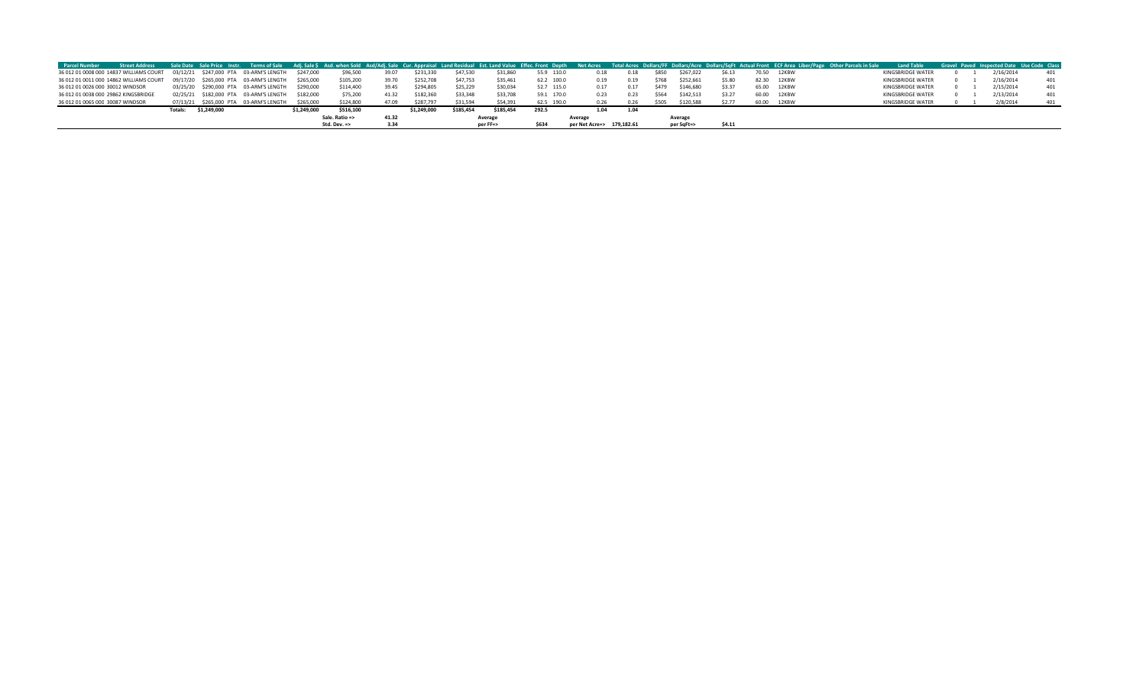| <b>Parcel Number</b>             |                                         |             |                                        |             |                |       |             |           |           |            |                           |      |       |            |        |       |             | Street Address Sale Date Sale Price Instr. Terms of Sale Adj. Sale S Asd. when Sold Asd/Adj. Sale Cur. Appraisal Land Residual Est. Land Value Effec. Front Depth Net Acres Total Acres Dollars/FF Dollars/Acre Dollars/SqFt A | <b>Land Table</b> |  | Gravel Paved Inspected Date Use Code Class |     |
|----------------------------------|-----------------------------------------|-------------|----------------------------------------|-------------|----------------|-------|-------------|-----------|-----------|------------|---------------------------|------|-------|------------|--------|-------|-------------|--------------------------------------------------------------------------------------------------------------------------------------------------------------------------------------------------------------------------------|-------------------|--|--------------------------------------------|-----|
|                                  | 36 012 01 0008 000 14837 WILLIAMS COURT |             | 03/12/21 \$247,000 PTA 03-ARM'S LENGTH | \$247.000   | \$96,500       | 39.07 | \$231,330   | \$47,530  | \$31,860  | 55.9 110.0 | 0.18                      |      | \$850 | \$267.022  | \$6.13 | 70.50 | 12KBW       |                                                                                                                                                                                                                                | KINGSBRIDGE WATER |  | 2/16/2014                                  |     |
|                                  |                                         |             |                                        |             |                |       |             |           |           |            |                           |      |       |            |        |       |             |                                                                                                                                                                                                                                |                   |  |                                            |     |
|                                  | 36 012 01 0011 000 14862 WILLIAMS COURT |             | 09/17/20 \$265,000 PTA 03-ARM'S LENGTH | \$265,000   | \$105,200      | 39.70 | \$252,708   | \$47,753  | \$35,461  | 62.2 100.0 | 0.19                      | 0.19 | \$768 | \$252,661  | \$5.80 | 82.30 | 12KBW       |                                                                                                                                                                                                                                | KINGSBRIDGE WATER |  | 2/16/2014                                  | 401 |
| 36 012 01 0026 000 30012 WINDSOR |                                         |             | 03/25/20 \$290,000 PTA 03-ARM'S LENGTH | \$290,000   | \$114,400      | 39.45 | \$294.80    | \$25,229  | \$30,034  | 52.7 115.0 |                           |      | \$479 | \$146,680  | \$3.37 | 65.00 | 12KBW       |                                                                                                                                                                                                                                | KINGSBRIDGE WATER |  | 2/15/2014                                  | 401 |
|                                  | 36 012 01 0038 000 29862 KINGSBRIDGE    |             | 02/25/21 \$182.000 PTA 03-ARM'S LENGTH | \$182.000   | \$75,200       | 41.32 | \$182,360   | \$33,348  | \$33,708  | 59.1 170.0 |                           | 0.23 | S564  | \$142.513  | \$3.27 |       | 60.00 12KBW |                                                                                                                                                                                                                                | KINGSBRIDGE WATER |  | 2/13/2014                                  |     |
| 36 012 01 0065 000 30087 WINDSOR |                                         |             | 07/13/21 \$265,000 PTA 03-ARM'S LENGTH | \$265,000   | \$124,800      | 47.09 | \$287,797   | \$31,594  | \$54,391  | 62.5 190.0 |                           | 0.26 | \$505 | \$120,588  | \$2.77 | 60.00 | 12KBW       |                                                                                                                                                                                                                                | KINGSBRIDGE WATER |  | 2/8/2014                                   | 401 |
|                                  |                                         | \$1,249,000 |                                        | \$1.249.000 | \$516,100      |       | \$1.249.000 | \$185.454 | \$185,454 | 292.5      | 1.04                      | 1.04 |       |            |        |       |             |                                                                                                                                                                                                                                |                   |  |                                            |     |
|                                  |                                         |             |                                        |             | Sale. Ratio => | 41.32 |             |           | Average   |            | Average                   |      |       | Average    |        |       |             |                                                                                                                                                                                                                                |                   |  |                                            |     |
|                                  |                                         |             |                                        |             | Std. Dev. =>   |       |             |           | per FF=>  | \$634      | per Net Acre=> 179,182.61 |      |       | per SqFt=> | \$4.11 |       |             |                                                                                                                                                                                                                                |                   |  |                                            |     |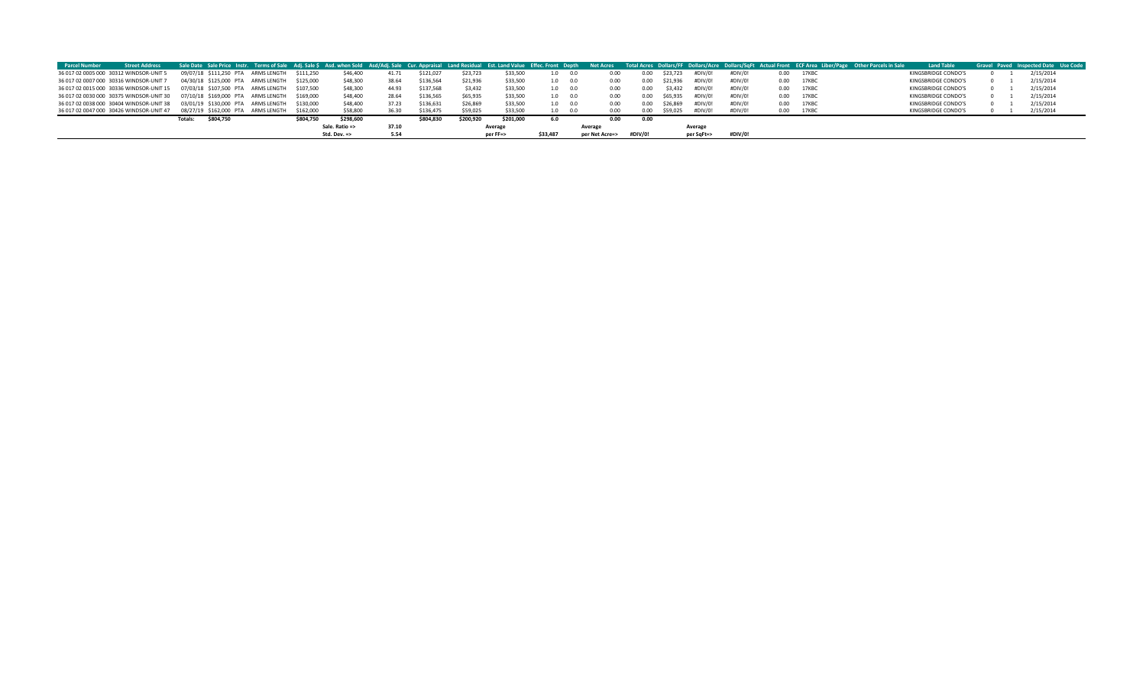| <b>Parcel Number</b> | <b>Street Address</b>                                                       |                |           |                                    |                         |           |       |           |           |           |                 |                |         |         |               |         |         |      | Sale Date Sale Price Instr. Terms of Sale Adj. Sale \$ Asd. when Sold Asd/Adj. Sale Cur. Appraisal Land Residual Est. Land Value Effec. Front Depth Net Acres Total Acres Dollars/Are Dollars/Acre Dollars/SqFt Actual Front EC | <b>Land Table</b>   |  | Gravel Paved Inspected Date Use Code |
|----------------------|-----------------------------------------------------------------------------|----------------|-----------|------------------------------------|-------------------------|-----------|-------|-----------|-----------|-----------|-----------------|----------------|---------|---------|---------------|---------|---------|------|---------------------------------------------------------------------------------------------------------------------------------------------------------------------------------------------------------------------------------|---------------------|--|--------------------------------------|
|                      | 36 017 02 0005 000 30312 WINDSOR-UNIT 5                                     |                |           | 09/07/18 \$111.250 PTA ARMS LENGTH | \$111.250               | \$46,400  | 41.71 | \$121.027 | \$23,723  | \$33,500  | 1.0             |                | 0.00    | 0.00    | \$23,723      | #DIV/0! | #DIV/0! |      | 0.00 17KBC                                                                                                                                                                                                                      | KINGSBRIDGE CONDO'S |  | 2/15/2014                            |
|                      | 36 017 02 0007 000 30316 WINDSOR-UNIT 7                                     |                |           | 04/30/18 \$125,000 PTA ARMS LENGTH | \$125,000               | \$48,300  | 38.64 | \$136,564 | \$21,936  | \$33,500  | 1.0 0.0         |                | 0.00    |         | 0.00 \$21,936 | #DIV/0! | #DIV/0! |      | 0.00 17KBC                                                                                                                                                                                                                      | KINGSBRIDGE CONDO'S |  | 2/15/2014                            |
|                      | 36 017 02 0015 000 30336 WINDSOR-UNIT 15 07/03/18 \$107,500 PTA ARMS LENGTH |                |           |                                    | \$107.500               | \$48,300  | 44.93 | \$137,568 | \$3,432   | \$33,500  | $1.0\qquad 0.0$ |                | 0.00    | 0.00    | \$3.432       | #DIV/0! | #DIV/0! |      | 0.00 17KBC                                                                                                                                                                                                                      | KINGSBRIDGE CONDO'S |  | 2/15/2014                            |
|                      | 36 017 02 0030 000 30375 WINDSOR-UNIT 30 07/10/18 \$169,000 PTA ARMS LENGTH |                |           |                                    | \$169.000               | \$48,400  | 28.64 | \$136,565 | \$65,935  | \$33,500  | 1.0 0.0         |                |         | 0.00    | \$65,935      | #DIV/0! | #DIV/0! |      | 0.00 17KBC                                                                                                                                                                                                                      | KINGSBRIDGE CONDO'S |  | 2/15/2014                            |
|                      | 36 017 02 0038 000 30404 WINDSOR-UNIT 38                                    |                |           | 03/01/19 \$130,000 PTA ARMS LENGTH | \$130,000               | \$48,400  |       | \$136,631 | \$26,869  | \$33,500  | $1.0\qquad 0.0$ |                | 0.00    |         | 0.00 \$26.869 | #DIV/0! | #DIV/0! |      | 0.00 17KBC                                                                                                                                                                                                                      | KINGSBRIDGE CONDO'S |  | 2/15/2014                            |
|                      | 36 017 02 0047 000 30426 WINDSOR-UNIT 47                                    |                |           | 08/27/19 \$162.000 PTA ARMS LENGTH | \$162,000               | \$58,800  |       | \$136,475 | \$59,025  | \$33,500  | 1.0             | 0.0            | 0.00    | 0.00    | \$59.025      | #DIV/0! | #DIV/0! | 0.00 | 17KBC                                                                                                                                                                                                                           | KINGSBRIDGE CONDO'S |  | 2/15/2014                            |
|                      |                                                                             | <b>Totals:</b> | \$804,750 |                                    | \$804,750               | \$298,600 |       | \$804,830 | \$200,920 | \$201,000 | 6.0             |                | 0.00    | 0.00    |               |         |         |      |                                                                                                                                                                                                                                 |                     |  |                                      |
|                      |                                                                             |                |           | Sale. Ratio =>                     |                         | 37.10     |       |           | Average   |           | Average         |                |         | Average |               |         |         |      |                                                                                                                                                                                                                                 |                     |  |                                      |
|                      |                                                                             |                |           |                                    | Std. Dev. $\Rightarrow$ | 5.54      |       |           | per FF=>  | \$33,487  |                 | per Net Acre=> | #DIV/0! |         | per SqFt=>    | #DIV/0! |         |      |                                                                                                                                                                                                                                 |                     |  |                                      |